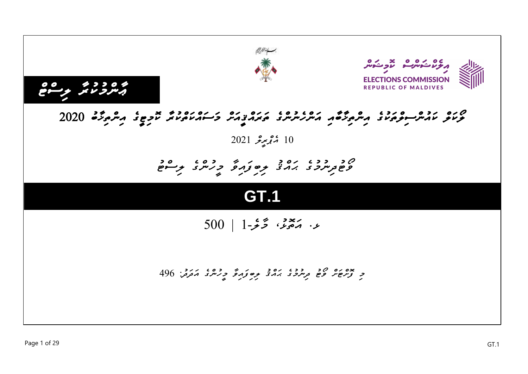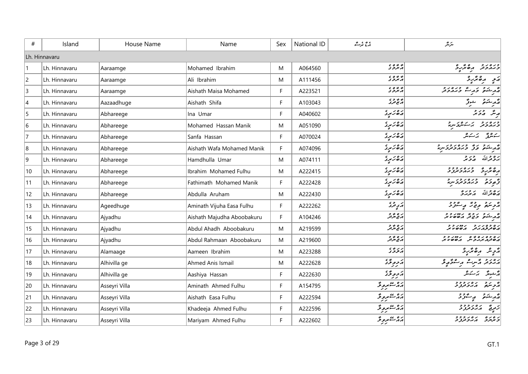| #              | Island        | House Name    | Name                       | Sex | National ID | ، ه ، بر <u>م</u>           | بىر ھ                                |
|----------------|---------------|---------------|----------------------------|-----|-------------|-----------------------------|--------------------------------------|
|                | Lh. Hinnavaru |               |                            |     |             |                             |                                      |
| 1              | Lh. Hinnavaru | Aaraamge      | Mohamed Ibrahim            | M   | A064560     | ږ وه ده<br>د تر د د         | כנסני נפינים                         |
| $\overline{2}$ | Lh. Hinnavaru | Aaraamge      | Ali Ibrahim                | M   | A111456     | پر پر ه پر<br>د تر پر پر    | ړې ره پر د                           |
| 3              | Lh. Hinnavaru | Aaraamge      | Aishath Maisa Mohamed      | F   | A223521     | پر پر ه ،<br>د تر د د       | ورشك ورث وردور                       |
| 4              | Lh. Hinnavaru | Aazaadhuge    | Aishath Shifa              | F   | A103043     | ږ د و ،<br>د ځ تر و         | د ديدة عبرً<br>م                     |
| 5              | Lh. Hinnavaru | Abhareege     | Ina Umar                   | F   | A040602     | ره رسمي<br>پره سرپري        | ورنش ورو                             |
| 6              | Lh. Hinnavaru | Abhareege     | Mohamed Hassan Manik       | M   | A051090     | برەر<br>ئەھرىپرى            | כנסנכה הביתורית                      |
| $\overline{7}$ | Lh. Hinnavaru | Abhareege     | Sanfa Hassan               | F   | A070024     | رە<br>ئەھەرىپرى             | شەرىق ئەسكەنلەر                      |
| $\overline{8}$ | Lh. Hinnavaru | Abhareege     | Aishath Wafa Mohamed Manik | F   | A074096     | برەبە<br>مەھرىپرى           | و مشور و و دره دور در                |
| $ 9\rangle$    | Lh. Hinnavaru | Abhareege     | Hamdhulla Umar             | M   | A074111     | ره رسمي<br>پره رسمي         | بروترالله حرحير                      |
| 10             | Lh. Hinnavaru | Abhareege     | Ibrahim Mohamed Fulhu      | M   | A222415     | رە رىپرى<br>مەھ ئەمبرى      | دە ئەر دىرە دود                      |
| 11             | Lh. Hinnavaru | Abhareege     | Fathimath Mohamed Manik    | F   | A222428     | <br> دەئەرىپرى              | צף כם כמחכנקבית ו                    |
| 12             | Lh. Hinnavaru | Abhareege     | Abdulla Aruham             | M   | A222430     | ره رسمي<br>د گار سمبرد      | رەقراللە كەبرىرە                     |
| 13             | Lh. Hinnavaru | Ageedhuge     | Aminath Vijuha Easa Fulhu  | F   | A222262     | ېر په تور <sup>ي</sup><br>م | وموسمي ويحرش ويسترقر                 |
| 14             | Lh. Hinnavaru | Ajyadhu       | Aishath Majudha Aboobakuru | F   | A104246     | بر 2 پڑ تر<br>در تع         |                                      |
| 15             | Lh. Hinnavaru | Ajyadhu       | Abdul Ahadh Aboobakuru     | M   | A219599     | بر 2 بر 7<br>در تع مرک      | נס כסננכנדו כל<br>השניכת בשם מא      |
| 16             | Lh. Hinnavaru | Ajyadhu       | Abdul Rahmaan Aboobakuru   | M   | A219600     | بر 2 بر 7<br>در تع مرک      | נסכסנסטים נמנכב<br>גםנגיגיבית גםסטיג |
| 17             | Lh. Hinnavaru | Alamaage      | Aameen Ibrahim             | M   | A223288     | پەيرى                       | أدويثر أوه برباد                     |
| 18             | Lh. Hinnavaru | Alhivilla ge  | Ahmed Anis Ismail          | M   | A222628     | ر<br>د عرح محرم             | גפגב היינים השלהל                    |
| 19             | Lh. Hinnavaru | Alhivilla ge  | Aashiya Hassan             | F   | A222630     | ر<br>د د و و د              | گەشمەر كەسكەش                        |
| 20             | Lh. Hinnavaru | Asseyri Villa | Aminath Ahmed Fulhu        | F   | A154795     | <br>  د د عفوروځه           | و در در دود.<br>مرد شي مدرو تروند    |
| 21             | Lh. Hinnavaru | Asseyri Villa | Aishath Easa Fulhu         | F.  | A222594     | <br> رويسمبروځر             | وكرمشكم والمحوف                      |
| 22             | Lh. Hinnavaru | Asseyri Villa | Khadeeja Ahmed Fulhu       | F   | A222596     | ئەھمىسىسى ئىسىمىتىسى<br>    | ر پرچ در دود<br>زمړنځ درگرونونو      |
| 23             | Lh. Hinnavaru | Asseyri Villa | Mariyam Ahmed Fulhu        | F   | A222602     | رە سەبىرە ب <sup>ى</sup> ر  | נסנס נסנככב<br>כמונכ הגבענט          |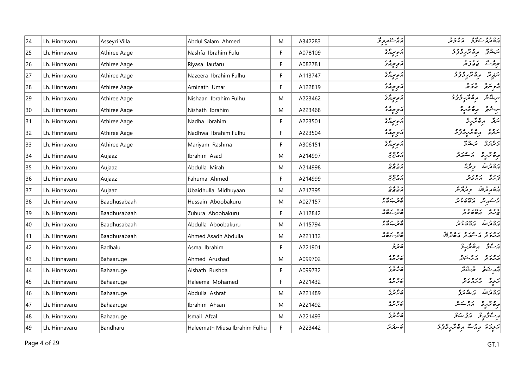| 24 | Lh. Hinnavaru | Asseyri Villa | Abdul Salam Ahmed             | M         | A342283 | <br>  د د مسموعه د                       | ره وه ر ره در ره در و<br>پره تربر سرگرد در برابر |
|----|---------------|---------------|-------------------------------|-----------|---------|------------------------------------------|--------------------------------------------------|
| 25 | Lh. Hinnavaru | Athiree Aage  | Nashfa Ibrahim Fulu           | F         | A078109 | <br>  په مو موړنۍ                        | يترشۇ مەھترىردىن                                 |
| 26 | Lh. Hinnavaru | Athiree Aage  | Riyasa Jaufaru                | F         | A082781 | أرمو بروي                                | ر در در<br>مخ د تو تر<br> برېژمگه                |
| 27 | Lh. Hinnavaru | Athiree Aage  | Nazeera Ibrahim Fulhu         | F         | A113747 | أروبروي                                  | ىتىرىت مەھترىردىز                                |
| 28 | Lh. Hinnavaru | Athiree Aage  | Aminath Umar                  | F         | A122819 | <br>  په مو مره د                        | ה בית ביב                                        |
| 29 | Lh. Hinnavaru | Athiree Aage  | Nishaan Ibrahim Fulhu         | M         | A223462 | <br>  په مو مره د                        | برېشش مەھترىرورو                                 |
| 30 | Lh. Hinnavaru | Athiree Aage  | Nishath Ibrahim               | ${\sf M}$ | A223468 | <br>  په مو مره د                        | سريشي مقتررة                                     |
| 31 | Lh. Hinnavaru | Athiree Aage  | Nadha Ibrahim                 | F         | A223501 | <br>  پرېو پېړۍ                          | يَرَوَّ مِنْ يُرْدِدُ                            |
| 32 | Lh. Hinnavaru | Athiree Aage  | Nadhwa Ibrahim Fulhu          | F         | A223504 | رَمو مرمَّز د                            | بردة مەھەر دود                                   |
| 33 | Lh. Hinnavaru | Athiree Aage  | Mariyam Rashma                | F         | A306151 | <br> ړه پرېږي                            | رەرە برشۇ                                        |
| 34 | Lh. Hinnavaru | Aujaaz        | Ibrahim Asad                  | M         | A214997 | ג כ ג ם<br>  ג ג ג ב                     | مصر و در مدد                                     |
| 35 | Lh. Hinnavaru | Aujaaz        | Abdulla Mirah                 | ${\sf M}$ | A214998 | ر و ده ه<br><i>م</i> در قع م             | أرة قرالله وبمربر                                |
| 36 | Lh. Hinnavaru | Aujaaz        | Fahuma Ahmed                  | F         | A214999 | ر و ده ه<br>مرمرم م                      | كروية مرورو                                      |
| 37 | Lh. Hinnavaru | Aujaaz        | Ubaidhulla Midhuyaan          | M         | A217395 | ر و ده ه<br><i>م</i> در قع م             | صصر قرالله ومرتزعه                               |
| 38 | Lh. Hinnavaru | Baadhusabaah  | Hussain Aboobakuru            | M         | A027157 | پر د بره و<br>ت <i>ق</i> تر ب            |                                                  |
| 39 | Lh. Hinnavaru | Baadhusabaah  | Zuhura Aboobakuru             | F         | A112842 | پر د بر پره<br><i>ه</i> نرستم <i>ه</i> ژ | ככל מממכר<br>אימי הססטיק                         |
| 40 | Lh. Hinnavaru | Baadhusabaah  | Abdulla Aboobakuru            | ${\sf M}$ | A115794 | پر د بره و<br>ت <i>ق</i> تر <i>ب</i> رت  | ره د الله مصموم                                  |
| 41 | Lh. Hinnavaru | Baadhusabaah  | Ahmed Asadh Abdulla           | M         | A221132 | ر و بر د ه<br>ت <i>ق</i> تر <i>ښخې</i> ر | ره رو بر عدد مقدالله                             |
| 42 | Lh. Hinnavaru | Badhalu       | Asma Ibrahim                  | F         | A221901 | ر ر د<br>ن <i>ن</i> فر                   | أراءة وهتربرة                                    |
| 43 | Lh. Hinnavaru | Bahaaruge     | Ahmed Arushad                 | ${\sf M}$ | A099702 | ر پر و ،<br>ن <i>خ</i> تر <sub>ک</sub>   | رەر دىرىد                                        |
| 44 | Lh. Hinnavaru | Bahaaruge     | Aishath Rushda                | F         | A099732 | ر پر و ،<br>ن <i>ن تر</i> بو             | أقرم شوه والمحمد المحمد                          |
| 45 | Lh. Hinnavaru | Bahaaruge     | Haleema Mohamed               | F         | A221432 | ر پر و ،<br>ن <i>ن</i> تر د              | يَجِرَّ وَيَدُومُو                               |
| 46 | Lh. Hinnavaru | Bahaaruge     | Abdulla Ashraf                | M         | A221489 | ر پر و ،<br>ن <i>نا تر</i> و             | رەقمەللە مەھىرو                                  |
| 47 | Lh. Hinnavaru | Bahaaruge     | Ibrahim Ahsan                 | ${\sf M}$ | A221492 | ر پر و ،<br>ن <i>نا تر</i> و             | رەپرىر مەسىر                                     |
| 48 | Lh. Hinnavaru | Bahaaruge     | Ismail Afzal                  | M         | A221493 | ر پر و ،<br>ن <i>ن تر</i> بو             | ر ھۇرو بەۋىنو                                    |
| 49 | Lh. Hinnavaru | Bandharu      | Haleemath Miusa Ibrahim Fulhu | F         | A223442 | ئەسرىترىتر                               | بروده ورئتم ره وروود                             |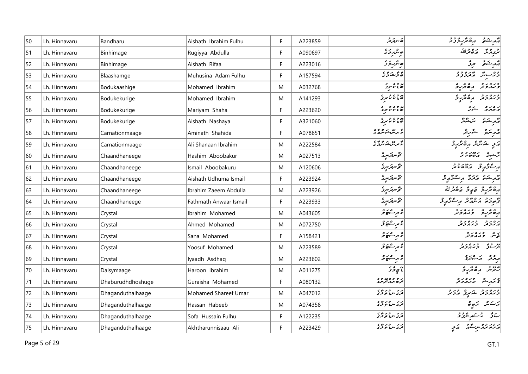| 50 | Lh. Hinnavaru | Bandharu          | Aishath Ibrahim Fulhu  | F         | A223859 | ر<br>ت <i>ه سرچر</i> پر                    | و د شوه ده د دود.<br>د د شوه د ه د دود د        |
|----|---------------|-------------------|------------------------|-----------|---------|--------------------------------------------|-------------------------------------------------|
| 51 | Lh. Hinnavaru | Binhimage         | Rugiyya Abdulla        | F         | A090697 | ھ مرگر دی<br>گر                            | <mark>حرية مركز مركات الله</mark>               |
| 52 | Lh. Hinnavaru | Binhimage         | Aishath Rifaa          | F         | A223016 | <br> حوشر پر تر ی                          | أقهر مشقرة المحموقر                             |
| 53 | Lh. Hinnavaru | Blaashamge        | Muhusina Adam Fulhu    | F         | A157594 | ە بۇ شەرى<br>ھۇشۇ <i>ر</i> ى               | په ره و د<br>پر ترو تو تر<br>چە بەسە پىگە       |
| 54 | Lh. Hinnavaru | Bodukaashige      | Mohamed Ibrahim        | M         | A032768 | پر دیمری                                   | כניסניב הפיציקיב                                |
| 55 | Lh. Hinnavaru | Bodukekurige      | Mohamed Ibrahim        | M         | A141293 | بر د ی د<br>می نام نیږي                    | ورەرو مەمرىر                                    |
| 56 | Lh. Hinnavaru | Bodukekurige      | Mariyam Shaha          | F         | A223620 | پر د ب د<br>ج د ما مرد                     | رەرە شەر                                        |
| 57 | Lh. Hinnavaru | Bodukekurige      | Aishath Nashaya        | F         | A321060 | پر د پ د<br>ج د مام مرد                    | م ديده مردم ديد.<br>م                           |
| 58 | Lh. Hinnavaru | Carnationmaage    | Aminath Shahida        | F         | A078651 | ر میں بھی دیا ہے<br>مائیں بھی بھی توجہ ی   | مُرْحِبَهُمْ ۖ شُرِيرٌ                          |
| 59 | Lh. Hinnavaru | Carnationmaage    | Ali Shanaan Ibrahim    | M         | A222584 | ر میں بھی دیا ہے<br>مائیں بھی بھی توجہ ی   | ړې شرشر ره ټر د                                 |
| 60 | Lh. Hinnavaru | Chaandhaneege     | Hashim Aboobakur       | M         | A027513 | ڭۇس <sub>ل</sub> رىترىپرىگە                | 77/77/7<br>ر<br>رگشوری                          |
| 61 | Lh. Hinnavaru | Chaandhaneege     | Ismail Aboobakuru      | M         | A120606 | كۇسىركىرىد                                 |                                                 |
| 62 | Lh. Hinnavaru | Chaandhaneege     | Aishath Udhuma Ismail  | F         | A223924 | كۇسىركىرىدىگە                              |                                                 |
| 63 | Lh. Hinnavaru | Chaandhaneege     | Ibrahim Zaeem Abdulla  | ${\sf M}$ | A223926 | كۇستىرسى                                   | رە ئرېز تمریز مەدرالله                          |
| 64 | Lh. Hinnavaru | Chaandhaneege     | Fathmath Anwaar Ismail | F         | A223933 | ڭرىس <i>قرىپى</i> دىگە                     | ومجادرة المستقار مسترجم                         |
| 65 | Lh. Hinnavaru | Crystal           | Ibrahim Mohamed        | M         | A043605 | 2 بېرىشقۇ ئى                               | גפת כגופנג                                      |
| 66 | Lh. Hinnavaru | Crystal           | Ahmed Mohamed          | M         | A072750 | ئۇبرىشقۇ                                   | נפנד בנסנד<br>הגבת בגהבת                        |
| 67 | Lh. Hinnavaru | Crystal           | Sana Mohamed           | F         | A158421 | ءُ مرِ سُقوَ ثَرُ                          | ر شهر وره رو<br>خوش وبرمارو                     |
| 68 | Lh. Hinnavaru | Crystal           | Yoosuf Mohamed         | M         | A223589 | ءُ مِرِ سُقءَ ثَرُ                         | و ره ر د<br>ح بر پر <del>ر</del> تر<br>دز مەسىر |
| 69 | Lh. Hinnavaru | Crystal           | lyaadh Asdhaq          | M         | A223602 | لابر شقۇ                                   | ەر ئەر ئەر ئەر ئەر ئەر                          |
| 70 | Lh. Hinnavaru | Daisymaage        | Haroon Ibrahim         | ${\sf M}$ | A011275 | پی پیچ دی<br>  پی پیچ تر <sub>ک</sub>      | ودود مقترره                                     |
| 71 | Lh. Hinnavaru | Dhaburudhdhoshuge | Guraisha Mohamed       | F         | A080132 | ر و و ه پو و پ<br>تر <i>ه بو</i> پر تر در  | ور وره درو                                      |
| 72 | Lh. Hinnavaru | Dhaganduthalhaage | Mohamed Shareef Umar   | ${\sf M}$ | A047012 | ر ر ر و ر د د<br>ترک سره ح لمری            | ورەرو خىرو درو                                  |
| 73 | Lh. Hinnavaru | Dhaganduthalhaage | Hassan Habeeb          | ${\sf M}$ | A074358 | ر ر ر و ر د د<br>ترک سره حوتر ی            | $rac{1}{2}$                                     |
| 74 | Lh. Hinnavaru | Dhaganduthalhaage | Sofa Hussain Fulhu     | F         | A122235 | د د سره د د د<br>  ترو سره بوتر د          | جۇ ئەسەر ھەر                                    |
| 75 | Lh. Hinnavaru | Dhaganduthalhaage | Akhtharunnisaau Ali    | F         | A223429 | ر ر ر و ر د د<br>ترک سره بح <sup>و</sup> ک | روروه سرعه محمو                                 |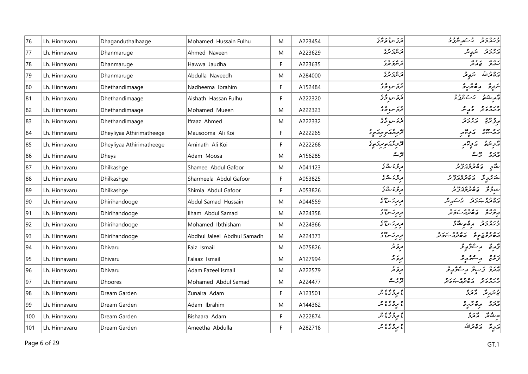| 76  | Lh. Hinnavaru | Dhaganduthalhaage        | Mohamed Hussain Fulhu       | M  | A223454 | ر ر په دره د د<br>اندې سره پونژۍ            | ورەرو جەمەرەدو                                                 |
|-----|---------------|--------------------------|-----------------------------|----|---------|---------------------------------------------|----------------------------------------------------------------|
| 77  | Lh. Hinnavaru | Dhanmaruge               | Ahmed Naveen                | M  | A223629 | ر ٥ ر ٥ ر<br>ترسر <del>ز</del> برز          | رەرو سَعِيش                                                    |
| 78  | Lh. Hinnavaru | Dhanmaruge               | Hawwa Jaudha                | F. | A223635 | ر ٥ ر ٥ ر<br>ترسر <del>ز</del> برز          | ره پر در<br>برگرمی مخ مرکز                                     |
| 79  | Lh. Hinnavaru | Dhanmaruge               | Abdulla Naveedh             | M  | A284000 | ر ہ ر د ،<br>ترسرچ بری                      | <mark>بر25</mark> لله<br>سرَهِ تر                              |
| 80  | Lh. Hinnavaru | Dhethandimaage           | Nadheema Ibrahim            | F  | A152484 | ې ئەھەر ئ <sup>ەي</sup> ب                   | تتبرد رەتمەد                                                   |
| 81  | Lh. Hinnavaru | Dhethandimaage           | Aishath Hassan Fulhu        | F  | A222320 | ې ئەركىسى <sub>غ</sub> ىرى<br>قرىئو سىر ق   | وگەرشىق بەسكەن ئەر                                             |
| 82  | Lh. Hinnavaru | Dhethandimaage           | Mohamed Mueen               | M  | A222323 | ە ئەسىم ئەسىمى<br>مەسىم                     | - دره در و و هر محمد برگر<br>  <i>د بر محمد</i> حم             |
| 83  | Lh. Hinnavaru | Dhethandimaage           | Ifraaz Ahmed                | M  | A222332 | ، ر<br>تره سره تر د                         | أمروشيح أمدوس                                                  |
| 84  | Lh. Hinnavaru | Dheyliyaa Athirimatheege | Mausooma Ali Koi            | F  | A222265 | نه د د د د ده و د ه<br>تر د د د د د د ه و د |                                                                |
| 85  | Lh. Hinnavaru | Dheyliyaa Athirimatheege | Aminath Ali Koi             | F. | A222268 | ن په دره برد و ،<br>انگرم د مرکز و ،        | وحريبهم وكمعينتهم                                              |
| 86  | Lh. Hinnavaru | Dheys                    | Adam Moosa                  | M  | A156285 | ئۇرمى                                       | وره دون<br>مرمرد ون                                            |
| 87  | Lh. Hinnavaru | Dhilkashge               | Shamee Abdul Gafoor         | M  | A041123 | وره ژر <sup>ه ۲</sup> ۰ و <sup>ج</sup>      | ا شو دەبرە دەپرىدە<br>سىمى ھەھىرى بىر                          |
| 88  | Lh. Hinnavaru | Dhilkashqe               | Sharmeela Abdul Gafoor      | F  | A053825 | وره ژره ۵<br>درمزم شور                      | ره و د د د د د د د د                                           |
| 89  | Lh. Hinnavaru | Dhilkashge               | Shimla Abdul Gafoor         | F  | A053826 | وره ژره ۵<br>درمزم شور                      |                                                                |
| 90  | Lh. Hinnavaru | Dhirihandooge            | Abdul Samad Hussain         | M  | A044559 | اور مریز سرچ دی<br><u>سر</u> سرچ دی         | ره وه رر و و که ش                                              |
| 91  | Lh. Hinnavaru | Dhirihandooge            | Ilham Abdul Samad           | M  | A224358 | و بر رود ود<br>تد برر سره ی                 | 020 رەدە رىرد<br>مەنزىر مەھىرمىسىرلىر                          |
| 92  | Lh. Hinnavaru | Dhirihandooge            | Mohamed Ibthisham           | M  | A224366 | ا <sub>فریور</sub><br>پرس                   | ورەرو مەھمىشى                                                  |
| 93  | Lh. Hinnavaru | Dhirihandooge            | Abdhul Jaleel Abdhul Samadh | M  | A224373 | و برر کسی دو ،<br>مربر کسی د                | גם כסג <sub>ב</sub> כ"ס כס גגב<br>בסתבב בב"ס בסתו <i>ג</i> -בב |
| 94  | Lh. Hinnavaru | Dhivaru                  | Faiz Ismail                 | M  | A075826 | در 2<br>در <i>ه</i> بر                      | قرمري مرسوقرمو                                                 |
| 95  | Lh. Hinnavaru | <b>Dhivaru</b>           | Falaaz Ismail               | M  | A127994 | در <sub>و</sub>                             | زۇچ رەشۇرۇ                                                     |
| 96  | Lh. Hinnavaru | <b>Dhivaru</b>           | Adam Fazeel Ismail          | M  | A222579 | ور ثر حر                                    | ە دە ئەنبە رەئەۋە                                              |
| 97  | Lh. Hinnavaru | <b>Dhoores</b>           | Mohamed Abdul Samad         | M  | A224477 | دد ، م<br>تربر ک                            | وره رو دره وه ررو<br><i>و برو د</i> ر م <i>ن هرم جو در</i>     |
| 98  | Lh. Hinnavaru | Dream Garden             | Zunaira Adam                | F  | A123501 |                                             | تەشمەش شەرە                                                    |
| 99  | Lh. Hinnavaru | Dream Garden             | Adam Ibrahim                | M  | A144362 | ه پرچې ده مر                                | أرمزد المصمر والمحم                                            |
| 100 | Lh. Hinnavaru | Dream Garden             | Bishaara Adam               | F  | A222874 | ه پر <sub>م</sub> و <sub>ک</sub> ه مر       | ھ شہ گر<br>پر ہ<br>مرکزو                                       |
| 101 | Lh. Hinnavaru | Dream Garden             | Ameetha Abdulla             | F. | A282718 | ە بېرىرى ئىگە<br>ئىسپرىرى ئىگە              | أترجوهم أتده قدالله                                            |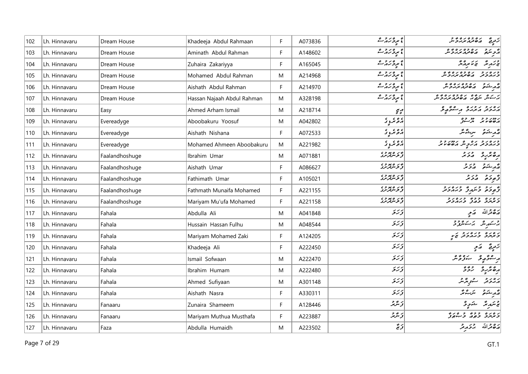| 102 | Lh. Hinnavaru | Dream House    | Khadeeja Abdul Rahmaan     | F           | A073836 | ۽ <sub>مر</sub> ور پر و<br>پ           | ر ٥ د ٥ ر ٥ ۶ و د<br>پرې توپر توپر توپس<br>نزَوِيقَ                              |
|-----|---------------|----------------|----------------------------|-------------|---------|----------------------------------------|----------------------------------------------------------------------------------|
| 103 | Lh. Hinnavaru | Dream House    | Aminath Abdul Rahman       | F           | A148602 | ه پر <i>در د</i> ه په                  | ر ه و ه د ه د ه<br>پره تر پر پر تر س<br>ړڻ سره په                                |
| 104 | Lh. Hinnavaru | Dream House    | Zuhaira Zakariyya          | F           | A165045 | اءِ <sub>موح</sub> د رحمہ ج            | בנגל ביצאת מ                                                                     |
| 105 | Lh. Hinnavaru | Dream House    | Mohamed Abdul Rahman       | M           | A214968 | ە بىر <i>ۋرۇ</i> ب                     | ره وه ره د ه<br>پره تربر تر ش<br>و ر ه ر د<br>تر پر تر تر                        |
| 106 | Lh. Hinnavaru | Dream House    | Aishath Abdul Rahman       | F           | A214970 | ه پر <sub>و</sub> ر پر م               | ره وه ره ده<br>پره تربر تر تر<br>و.<br>د که د مشکوهی                             |
| 107 | Lh. Hinnavaru | Dream House    | Hassan Najaah Abdul Rahman | M           | A328198 | ە بىر <i>ۈرۈر م</i>                    | ر کے مردہ دہ دہ دہ دہ دہ<br>پر کے سرح پر ماہ ترم بربرو س                         |
| 108 | Lh. Hinnavaru | Easy           | Ahmed Arham Ismail         | M           | A218714 | رسمج                                   | גפנק גינים תשפתי                                                                 |
| 109 | Lh. Hinnavaru | Evereadyge     | Aboobakuru Yoosuf          | M           | A042802 | $rac{1}{5}$                            | נדונ בפ<br>גם סיג ת—ו                                                            |
| 110 | Lh. Hinnavaru | Evereadyge     | Aishath Nishana            | F           | A072533 | ه ه ه ه و ه<br>مره مربح د              | ر<br><i>مگر ڪوي سرڪونگ</i> ر                                                     |
| 111 | Lh. Hinnavaru | Evereadyge     | Mohamed Ahmeen Aboobakuru  | M           | A221982 | ه ه ه ه و ه<br>مره مربح د              | כנסגב גם כם החבר כב<br>בממכת מתקיית מססטיק                                       |
| 112 | Lh. Hinnavaru | Faalandhoshuge | Ibrahim Umar               | M           | A071881 | ه ر ه پر د ،<br>گرمز مربر ر            |                                                                                  |
| 113 | Lh. Hinnavaru | Faalandhoshuge | Aishath Umar               | F           | A086627 | ر د ه پر د د<br>تر تر سربر ر           |                                                                                  |
| 114 | Lh. Hinnavaru | Faalandhoshuge | Fathimath Umar             | F           | A105021 | ء ر ەير د ،<br>توفرىترىرى              | و د در در                                                                        |
| 115 | Lh. Hinnavaru | Faalandhoshuge | Fathmath Munaifa Mohamed   | $\mathsf F$ | A221155 | ء ر ه پر د ،<br>تر تر سرتر بر <u>.</u> | تحوذه وسرق وبرورد                                                                |
| 116 | Lh. Hinnavaru | Faalandhoshuge | Mariyam Mu'ufa Mohamed     | F           | A221158 | ر د ه پر د د<br>تر تر سربر ر           | ג סגם ככל כגם בב<br>המחנד בגצ בגביבת                                             |
| 117 | Lh. Hinnavaru | Fahala         | Abdulla Ali                | M           | A041848 | ۇزى                                    | برة قرالله برمج                                                                  |
| 118 | Lh. Hinnavaru | Fahala         | Hussain Hassan Fulhu       | M           | A048544 | ۇزى                                    | برسكريش الرسكس والمح                                                             |
| 119 | Lh. Hinnavaru | Fahala         | Mariyam Mohamed Zaki       | $\mathsf F$ | A124205 | قرترى                                  | גפגם כנסגב ג                                                                     |
| 120 | Lh. Hinnavaru | Fahala         | Khadeeja Ali               | F           | A222450 | ۇزى                                    | كرسيج الأسمح                                                                     |
| 121 | Lh. Hinnavaru | Fahala         | Ismail Sofwaan             | M           | A222470 | ۇزى                                    | ر موځ په ده ده کړه شر                                                            |
| 122 | Lh. Hinnavaru | Fahala         | Ibrahim Humam              | M           | A222480 | ۇزۇ                                    | $55 - 322$                                                                       |
| 123 | Lh. Hinnavaru | Fahala         | Ahmed Sufiyaan             | M           | A301148 | ۇزۇ                                    | رەرد ئەرگە                                                                       |
| 124 | Lh. Hinnavaru | Fahala         | Aishath Nasra              | F           | A330311 | ۇزى                                    | أقهر يشكوه الترسي                                                                |
| 125 | Lh. Hinnavaru | Fanaaru        | Zunaira Shameem            | F           | A128446 | ىر شر جە<br>ئۆسىرىيە                   | تم سَمبر سَمَّ - شَمَّ رِ حَ                                                     |
| 126 | Lh. Hinnavaru | Fanaaru        | Mariyam Muthua Musthafa    | F           | A223887 | ۇ ئىرىر                                | נ סנים - כבש - כ סניש<br>בי <i>נורב - ב<sub>י</sub>פ</i> ל - ב- <del>י</del> יפל |
| 127 | Lh. Hinnavaru | Faza           | Abdulla Humaidh            | M           | A223502 | تریخ                                   | مَدْهُ مِّرَاللَّهُ مِرْكَرْ مِعْر                                               |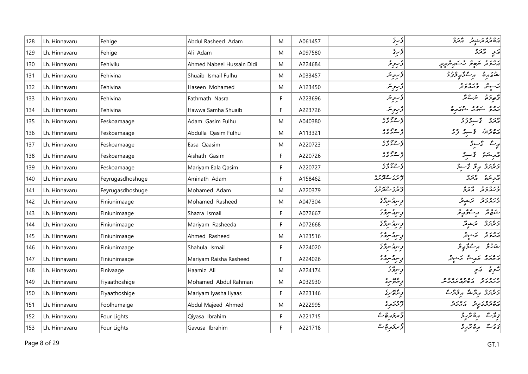| 128 | Lh. Hinnavaru | Fehige           | Abdul Rasheed Adam        | M  | A061457 | كورى                                | ן 2000 בית הינים<br>הסתה בית הנק                 |
|-----|---------------|------------------|---------------------------|----|---------|-------------------------------------|--------------------------------------------------|
| 129 | Lh. Hinnavaru | Fehige           | Ali Adam                  | M  | A097580 | ې<br>توري                           | ړَ په دره                                        |
| 130 | Lh. Hinnavaru | Fehivilu         | Ahmed Nabeel Hussain Didi | M  | A224684 | ۇروڭر<br>مەر                        | גפנק משפל הריית ייתוניק                          |
| 131 | Lh. Hinnavaru | Fehivina         | Shuaib Ismail Fulhu       | M  | A033457 | ۇرەبىر                              | فيمده مستوضع                                     |
| 132 | Lh. Hinnavaru | Fehivina         | Haseen Mohamed            | M  | A123450 | ۇرەبىر                              | يرسوس وبرەر و                                    |
| 133 | Lh. Hinnavaru | Fehivina         | Fathmath Nasra            | F  | A223696 | ۇروپر                               | وتجوحا والمراجي                                  |
| 134 | Lh. Hinnavaru | Fehivina         | Hawwa Samha Shuaib        | F  | A223726 | ۇروپىر                              | بره و مره و در د                                 |
| 135 | Lh. Hinnavaru | Feskoamaage      | Adam Gasim Fulhu          | M  | A040380 | ې وه پوځ<br>تو سرمړنۍ               | وره وسوور<br>مهرد وسوور                          |
| 136 | Lh. Hinnavaru | Feskoamaage      | Abdulla Qasim Fulhu       | M  | A113321 | ې وه پوځ<br>تر سرگرۍ                | رە داللە ئۇسىۋ زىر                               |
| 137 | Lh. Hinnavaru | Feskoamaage      | Easa Qaasim               | M  | A220723 | ې وېږې<br>نو سرگونۍ                 | ر په سوانځو کولو د کلو                           |
| 138 | Lh. Hinnavaru | Feskoamaage      | Aishath Gasim             | F  | A220726 | ې وه ۶ په <sup>ي</sup>              | و<br>مەرشەمى تۆسىر                               |
| 139 | Lh. Hinnavaru | Feskoamaage      | Mariyam Eala Qasim        | F  | A220727 | ې وه پوځ<br>نو سرونونو              | وممترو ريؤ تؤسرو                                 |
| 140 | Lh. Hinnavaru | Feyrugasdhoshuge | Aminath Adam              | F  | A158462 | ده و ر<br>تو بر یک سوتر در          | הכיתה הבכ                                        |
| 141 | Lh. Hinnavaru | Feyrugasdhoshuge | Mohamed Adam              | M  | A220379 | دے ورصور و د<br>قریمری سستمبرمری    | כנסנכ שנם<br>כגובת ותנב                          |
| 142 | Lh. Hinnavaru | Finiunimaage     | Mohamed Rasheed           | M  | A047304 | و سرړ سرچ د                         | ورەرو كەشەتر                                     |
| 143 | Lh. Hinnavaru | Finiunimaage     | Shazra Ismail             | F  | A072667 | و سرم <sup>3</sup> سرچ <sup>ی</sup> | خوي په موګړو                                     |
| 144 | Lh. Hinnavaru | Finiunimaage     | Mariyam Rasheeda          | F. | A072668 | و سرړ <sup>س</sup> رچ <sup>ۍ</sup>  | رەرە بر <sub>ىشون</sub> گر                       |
| 145 | Lh. Hinnavaru | Finiunimaage     | Ahmed Rasheed             | M  | A123516 | و سرړ سرچ ځ                         | رەر دىكىشىش                                      |
| 146 | Lh. Hinnavaru | Finiunimaage     | Shahula Ismail            | F  | A224020 | و سرړ سرچ ځ                         | شروعه وسنؤوع                                     |
| 147 | Lh. Hinnavaru | Finiunimaage     | Mariyam Raisha Rasheed    | F  | A224026 | و سرړ سرچ <sup>ۍ</sup>              | ويروو برريقه برسور                               |
| 148 | Lh. Hinnavaru | Finivaage        | Haamiz Ali                | M  | A224174 | وسرچء                               | بروج المامي                                      |
| 149 | Lh. Hinnavaru | Fiyaathoshige    | Mohamed Abdul Rahman      | M  | A032930 | و پژند ر ،<br>تر پژند برد           | وره رو ده ده ده ده و<br>د بر برو تر مصر بر بر بر |
| 150 | Lh. Hinnavaru | Fiyaathoshige    | Mariyam Iyasha Ilyaas     | F  | A223146 | و پر پر ہ<br>پر مربح سربر           | קיים הקייל היכת"                                 |
| 151 | Lh. Hinnavaru | Foolhumaige      | Abdul Majeed Ahmed        | M  | A222995 | ژی <sub>خ حرم</sub>                 | ره وه ر ده ر د در<br>مصر و حد مدر تد             |
| 152 | Lh. Hinnavaru | Four Lights      | Qiyasa Ibrahim            | F. | A221715 | ئۇ بىر ئەرىقى م                     | ترمر شه به من المراجع المراجع                    |
| 153 | Lh. Hinnavaru | Four Lights      | Gavusa Ibrahim            | F. | A221718 | ۇ برىز بە ھ                         | تروث مەمگرىد                                     |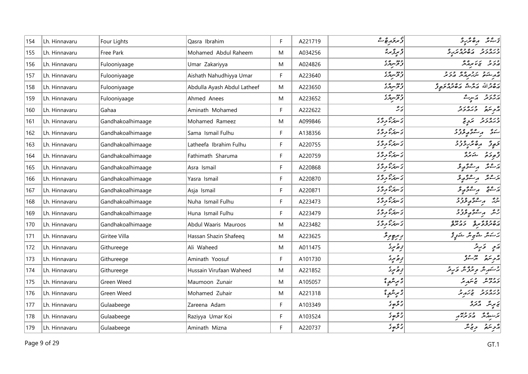| 154 | Lh. Hinnavaru | Four Lights       | Qasra Ibrahim               | F         | A221719 | ئۇبرى <i>ز</i> م <sub>ى</sub> قىر           | توجع مقترح                                                          |
|-----|---------------|-------------------|-----------------------------|-----------|---------|---------------------------------------------|---------------------------------------------------------------------|
| 155 | Lh. Hinnavaru | <b>Free Park</b>  | Mohamed Abdul Raheem        | ${\sf M}$ | A034256 | ە بېرتۇبىر <sup>ە</sup>                     | כנסנכ נסכסנים                                                       |
| 156 | Lh. Hinnavaru | Fulooniyaage      | Umar Zakariyya              | ${\sf M}$ | A024826 | د دوسره په<br>ز نومبرد ک                    | בני ביתחת                                                           |
| 157 | Lh. Hinnavaru | Fulooniyaage      | Aishath Nahudhiyya Umar     | F         | A223640 | د دو سره د ،<br>  د نوسره د ،               | הו בין בין בין בין                                                  |
| 158 | Lh. Hinnavaru | Fulooniyaage      | Abdulla Ayash Abdul Latheef | ${\sf M}$ | A223650 | د دو په په<br>  ز څرسرمر <sub>ک</sub>       | رە داللە مەرھەر مەدەر ۋ                                             |
| 159 | Lh. Hinnavaru | Fulooniyaage      | Ahmed Anees                 | M         | A223652 | وود پرې                                     | ړه رو پرس                                                           |
| 160 | Lh. Hinnavaru | Gahaa             | Aminath Mohamed             | F         | A222622 | ىزمى                                        | أثر سرد وره دو                                                      |
| 161 | Lh. Hinnavaru | Gandhakoalhimaage | Mohamed Rameez              | ${\sf M}$ | A099846 | ئەس <i>تەرەبىرى</i><br>ئەس <i>تەرەبىر</i> ى | وره رو دره                                                          |
| 162 | Lh. Hinnavaru | Gandhakoalhimaaqe | Sama Ismail Fulhu           | F         | A138356 | <br>  ئەستىرىئا ئورگا ئ                     | رىز بەر شەھ بور د                                                   |
| 163 | Lh. Hinnavaru | Gandhakoalhimaaqe | Latheefa Ibrahim Fulhu      | F         | A220755 | <br>  ئاسترىكى عرضى                         | ە ھەترىر 33 د<br>ځېږ تر                                             |
| 164 | Lh. Hinnavaru | Gandhakoalhimaage | Fathimath Sharuma           | F         | A220759 | <br>  ئەستىرىنا موردى                       | ے ترقر<br>ء بر د<br>ترجو حو                                         |
| 165 | Lh. Hinnavaru | Gandhakoalhimaaqe | Asra Ismail                 | F         | A220868 | <br>  ئەسىرىمى موڭرى                        | رَ شهرَّ<br>ەرسىۋەپەيج                                              |
| 166 | Lh. Hinnavaru | Gandhakoalhimaaqe | Yasra Ismail                | F         | A220870 | <br>  ئەستىرىئا ئورگا ئا                    | ىر ئەۋ پەيۋ<br>ېز شو پر                                             |
| 167 | Lh. Hinnavaru | Gandhakoalhimaage | Asja Ismail                 | F         | A220871 | ر سوتر با باره می<br>د سوتر با بارگان       | برڪۇپوگر<br>پر ھڻج                                                  |
| 168 | Lh. Hinnavaru | Gandhakoalhimaage | Nuha Ismail Fulhu           | F         | A223473 | <br>  ئەستىرىنا مەركى                       | وو په مورود وو                                                      |
| 169 | Lh. Hinnavaru | Gandhakoalhimaage | Huna Ismail Fulhu           | F         | A223479 | <br>  ئەستىرىئا ئورى                        | رىتر بەسىۋە دود                                                     |
| 170 | Lh. Hinnavaru | Gandhakoalhimaage | Abdul Waaris Mauroos        | M         | A223482 | <br>  ئەسەر ئاسىرى ئى                       | גם כם מהם הכחים<br>הסתיכת מה בהימה                                  |
| 171 | Lh. Hinnavaru | Giritee Villa     | Hassan Shazin Shafeeq       | M         | A223625 | ا پر مرج و څه<br><u>بر بر و بر</u>          | ر<br>برسوس ڪ <sub>و</sub> پوس ڪورپي                                 |
| 172 | Lh. Hinnavaru | Githureege        | Ali Waheed                  | M         | A011475 | تر چې مورځ<br>تر پېړۍ                       | أرشح أوريد                                                          |
| 173 | Lh. Hinnavaru | Githureege        | Aminath Yoosuf              | F         | A101730 | و دره<br>توجوموړ                            | ב היב יד כם<br>הב הים, ידע ת                                        |
| 174 | Lh. Hinnavaru | Githureege        | Hussain Virufaan Waheed     | ${\sf M}$ | A221852 | و جريري<br>ترجو پور                         | برسكر عزيز ويروثر                                                   |
| 175 | Lh. Hinnavaru | Green Weed        | Maumoon Zunair              | ${\sf M}$ | A105057 |                                             | ג כמבים בית ב                                                       |
| 176 | Lh. Hinnavaru | Green Weed        | Mohamed Zuhair              | ${\sf M}$ | A221318 | ه<br>د برېترو ؟<br>پ                        | כנסנכ בנגב                                                          |
| 177 | Lh. Hinnavaru | Gulaabeege        | Zareena Adam                | F         | A103349 | د و ه<br>د ژه د                             | ىج بېرىنگە ئەگەر 2                                                  |
| 178 | Lh. Hinnavaru | Gulaabeege        | Raziyya Umar Koi            | F         | A103524 | د و ه<br>د ژه د                             | پر نے در دیگر<br>مر نے دار دیگر<br>ور ويو<br>مە <del>ر</del> ىمى مە |
| 179 | Lh. Hinnavaru | Gulaabeege        | Aminath Mizna               | F         | A220737 | د و هو د<br>د تره د                         | أزويتم وبيتر                                                        |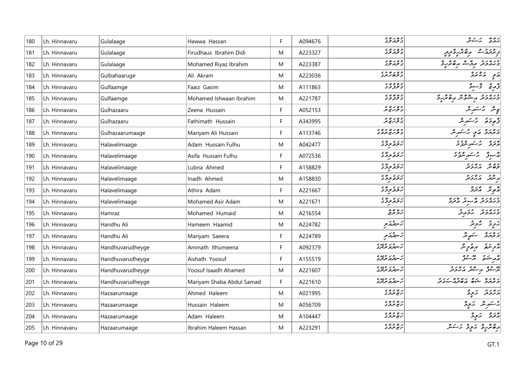| 180 | Lh. Hinnavaru | Gulalaage        | Hawwa Hassan              | F           | A094676 | و ه بر پر پر<br>پر نوگر                  | برەپ برسەش                                           |
|-----|---------------|------------------|---------------------------|-------------|---------|------------------------------------------|------------------------------------------------------|
| 181 | Lh. Hinnavaru | Gulalaage        | Firudhaus Ibrahim Didi    | M           | A223327 | ۶ و بر بر بر<br>می مورگوی                | و بر در د ه<br>ە ھەتگەر 3 تەرىپە<br>بە ھەتگەر 3 قەتق |
| 182 | Lh. Hinnavaru | Gulalaage        | Mohamed Riyaz Ibrahim     | M           | A223387 | د ه د پر پر<br>د نوبرنو د                | כנסגב תוצים תסתיב                                    |
| 183 | Lh. Hinnavaru | Gulbahaaruge     | Ali Akram                 | M           | A223036 | و ه ر بر و ،<br>د <del>ن</del> ره ر برد  |                                                      |
| 184 | Lh. Hinnavaru | Gulfaamge        | Faaiz Gasim               | M           | A111863 | وه و ه ه ،<br>  د نوگر د د               | ۇرىج ئۇسۇ                                            |
| 185 | Lh. Hinnavaru | Gulfaamge        | Mohamed Ishwaan Ibrahim   | M           | A221787 | وه و ه ه ،<br>  <mark>د نرت</mark> ر و د | כנים בי תשיפית תפיציב                                |
| 186 | Lh. Hinnavaru | Gulhazaaru       | Zeena Hussain             | F           | A052153 | وه پر پر و<br><sub>م</sub> حرم تنم مر    | ىچ ئىگە باشكىرىش                                     |
| 187 | Lh. Hinnavaru | Gulhazaaru       | Fathimath Hussain         | F           | A343995 | وه پر پر و<br>پر بوټرينې تنر             | توجوجو برستهريش                                      |
| 188 | Lh. Hinnavaru | Gulhazaarumaage  | Mariyam Ali Hussain       | F           | A113746 | و ه د پر و پر د<br>د نوربځ برو د         | ومهرو ړی پر شریر                                     |
| 189 | Lh. Hinnavaru | Halavelimaage    | Adam Hussain Fulhu        | M           | A042477 | ر ئەھ بەر ئ <sup>ەس</sup>                | وره چرخه مورو                                        |
| 190 | Lh. Hinnavaru | Halavelimaage    | Asifa Hussain Fulhu       | F           | A072536 | ژۇۋىودگە                                 | ەسىرۇ بەسىر ھوق                                      |
| 191 | Lh. Hinnavaru | Halavelimaage    | Lubna Ahmed               | F           | A158829 | ژۇءُ بەدى                                | وه شهر در د                                          |
| 192 | Lh. Hinnavaru | Halavelimaage    | Inadh Ahmed               | M           | A158830 | رىرى پەرى<br>بىر ئىرى <i>م</i> ى         | پر شرقر از کار پر جات                                |
| 193 | Lh. Hinnavaru | Halavelimaage    | Athira Adam               | $\mathsf F$ | A221667 | ر ئەن ئەر ئەسىمى<br>مەنبەر ئەن           | ړې په ډېره                                           |
| 194 | Lh. Hinnavaru | Halavelimaage    | Mohamed Asir Adam         | M           | A221671 | ر ر ،<br>رکوه ور <sup>ی</sup>            | כנסגב ובייבר ובנס<br>כמוכנו ולייביו ובנכ             |
| 195 | Lh. Hinnavaru | Hamraz           | Mohamed Humaid            | M           | A216554 | ر ه ۶ ه<br>ر <del>و</del> بوج            | כנסנפ בנב                                            |
| 196 | Lh. Hinnavaru | Handhu Ali       | Hameem Haamid             | M           | A224782 | ئەسەتەرىجە                               | پر پر پر پر پر                                       |
| 197 | Lh. Hinnavaru | Handhu Ali       | Mariyam Saeera            | $\mathsf F$ | A224789 | ئەسەقرىرىجە                              | رەرە سەرتە                                           |
| 198 | Lh. Hinnavaru | Handhuvarudheyge | Aminath Ithumeena         | F           | A092379 | ر سرور وړ، ،<br>رسربر <i>و بر</i> نرد    | ىر چ <sub>ۈچ</sub> ىتر<br>أثر حريثهم                 |
| 199 | Lh. Hinnavaru | Handhuvarudheyge | Aishath Yoosuf            | F           | A155519 | ر سرور وړ،   .<br>ر سرفرو مرفر ک         | و در دوره<br>مرم شوه الرسو                           |
| 200 | Lh. Hinnavaru | Handhuvarudheyge | Yoosuf Isaadh Ahamed      | M           | A221607 | ر سرور وړ، ،<br>رسرفرو بوترو             | מ כם השיב הסקב<br>ת—נצ                               |
| 201 | Lh. Hinnavaru | Handhuvarudheyge | Mariyam Shaba Abdul Samad | $\mathsf F$ | A221610 | ر سرور وړ،  ،<br>رسرفرو بوتو و           | ره ره در در در در در د                               |
| 202 | Lh. Hinnavaru | Hazaarumaage     | Ahmed Haleem              | M           | A021995 | ر ۶ و ۶ ه<br>رسخ بورو ی                  | ړه د پر ده                                           |
| 203 | Lh. Hinnavaru | Hazaarumaage     | Hussain Haleem            | M           | A056709 | ر ۶ و ۶ ی<br>رسخ بوری                    | يز سنهر شر پر بر دی.<br>مسلم                         |
| 204 | Lh. Hinnavaru | Hazaarumaage     | Adam Haleem               | M           | A104447 | ر پر و پر ی<br>رسم مرو د                 | وره رود                                              |
| 205 | Lh. Hinnavaru | Hazaarumaage     | Ibrahim Haleem Hassan     | M           | A223291 | ر پر و پر د<br>تر پنج بوری               | رەپرى ئېچە ئەسكىر                                    |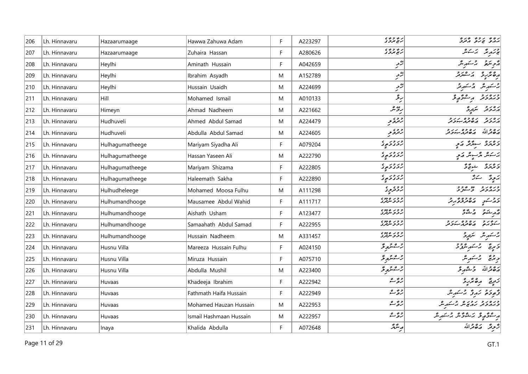| 206 | Lh. Hinnavaru | Hazaarumaage    | Hawwa Zahuwa Adam       | F         | A223297 | ر پر و د پ<br>رسخ مرو د                 | גם ז' ג' ז' גם<br>ג'ריפ "ז' ג' ראינד                                                                           |
|-----|---------------|-----------------|-------------------------|-----------|---------|-----------------------------------------|----------------------------------------------------------------------------------------------------------------|
| 207 | Lh. Hinnavaru | Hazaarumaage    | Zuhaira Hassan          | F         | A280626 | ر ۶ و ۶ ي<br>رس مرو ي                   | تم تر مر تر تر شر شر                                                                                           |
| 208 | Lh. Hinnavaru | Heylhi          | Aminath Hussain         | F.        | A042659 | ەي<br>مرىمو                             | مۇجەسىمى برگىتىدىش                                                                                             |
| 209 | Lh. Hinnavaru | Heylhi          | Ibrahim Asyadh          | M         | A152789 | امع<br>سرمبر                            | پر ھەترىتر<br>ەر ھەترىر <i>3</i>                                                                               |
| 210 | Lh. Hinnavaru | Heylhi          | Hussain Usaidh          | M         | A224699 | امير<br>ڪير                             | برسكر مركب وتسكوفر                                                                                             |
| 211 | Lh. Hinnavaru | Hill            | Mohamed Ismail          | M         | A010133 | ىرى                                     | ورەرو بەر ئەھم                                                                                                 |
| 212 | Lh. Hinnavaru | Himeyn          | Ahmad Nadheem           | M         | A221662 | ری ه<br>ر د س                           | رەر ئىبرۇ                                                                                                      |
| 213 | Lh. Hinnavaru | Hudhuveli       | Ahmed Abdul Samad       | ${\sf M}$ | A224479 | روء پر                                  | ره رحاده وه رراحا<br>م.بروترا م. ه ترم. ب                                                                      |
| 214 | Lh. Hinnavaru | Hudhuveli       | Abdulla Abdul Samad     | M         | A224605 | و و ،<br>رتره م                         | ر ٥ ٥ ٥ ٥ ر ر و<br>پره تر پر سوتر تر<br>برە تراللە                                                             |
| 215 | Lh. Hinnavaru | Hulhagumatheege | Mariyam Siyadha Ali     | F         | A079204 | د بر د بر بر بر<br>  برند بر بر بر      | د وبرو سوژنگر ړَیږ                                                                                             |
| 216 | Lh. Hinnavaru | Hulhagumatheege | Hassan Yaseen Ali       | M         | A222790 | د بر د بر بر بر<br>  بر د بر بر بر بر   | ير کے مگر مگر کے مگر کے لیے ایک کاری کے مگر کے لیے ایک کاری کے مگر کے مگر کے مگر ایک کاری کے مگر ایک کاری کے ب |
| 217 | Lh. Hinnavaru | Hulhagumatheege | Mariyam Shizama         | F         | A222805 | ور ور پر<br>رنگ و م <sub>و</sub> ر      | رەرە ھەترىم                                                                                                    |
| 218 | Lh. Hinnavaru | Hulhagumatheege | Haleemath Sakha         | F         | A222890 | ور ور پر<br>رنگ و م <sub>و</sub> ر      | زىرۇ سەۋ                                                                                                       |
| 219 | Lh. Hinnavaru | Hulhudheleege   | Mohamed Moosa Fulhu     | M         | A111298 | 3 ترتر <sub>مج</sub> ری                 | כנסני מי 1996<br>במחכת כ-תני                                                                                   |
| 220 | Lh. Hinnavaru | Hulhumandhooge  | Mausamee Abdul Wahid    | F         | A111717 | و و ر ۵ وو ،<br>رنو و سربور             | د و ده وه ورو و                                                                                                |
| 221 | Lh. Hinnavaru | Hulhumandhooge  | Aishath Usham           | F.        | A123477 | و و ر ۵ وو ،<br>مرنو و سربور            | مُ مِنْدُمْ مِنْ مُرْدُ                                                                                        |
| 222 | Lh. Hinnavaru | Hulhumandhooge  | Samaahath Abdul Samad   | F.        | A222955 | و و ر ۵ وو ،<br>مرنو <del>و</del> موبور | ה מיני הסיפס הניכ<br>היפהם הסינה היפינ                                                                         |
| 223 | Lh. Hinnavaru | Hulhumandhooge  | Hussain Nadheem         | M         | A331457 | و و ر ۵ دو ،<br>رند تر سربر ی           | يز سكر مكر مكر مكر من المركز                                                                                   |
| 224 | Lh. Hinnavaru | Husnu Villa     | Mareeza Hussain Fulhu   | F         | A024150 | <sup>3</sup> ىشلىقىدۇ.                  | ۇيدىئە برگە ئىرسرور ئا                                                                                         |
| 225 | Lh. Hinnavaru | Husnu Villa     | Miruza Hussain          | F         | A075710 | 2 سىمبى <i>رى</i> گە                    | وبربخ برسكرهر                                                                                                  |
| 226 | Lh. Hinnavaru | Husnu Villa     | Abdulla Mushil          | M         | A223400 | ر مەش <sub>رىم</sub> ئۇ                 | رەقراللە ئەشمېر                                                                                                |
| 227 | Lh. Hinnavaru | Huvaas          | Khadeeja Ibrahim        | F         | A222942 | ر پۇ ب                                  | دَىرِيمَ رەڭرىۋ                                                                                                |
| 228 | Lh. Hinnavaru | Huvaas          | Fathmath Haifa Hussain  | F.        | A222949 | ر پۇ شە                                 | وتجوفهم تهرؤ برحتهر                                                                                            |
| 229 | Lh. Hinnavaru | Huvaas          | Mohamed Hauzan Hussain  | M         | A222953 | ر پۇ شە                                 | ورەرو رورو چىكە                                                                                                |
| 230 | Lh. Hinnavaru | Huvaas          | Ismail Hashmaan Hussain | M         | A222957 | ر پۇ شە                                 | ر ھۇي <sub>م</sub> ۇ كىش <i>ۇش بىر كىر</i> ش                                                                   |
| 231 | Lh. Hinnavaru | Inaya           | Khalida Abdulla         | F         | A072648 | اریتیڈ                                  | تَرْحِةً 25هزاللّه                                                                                             |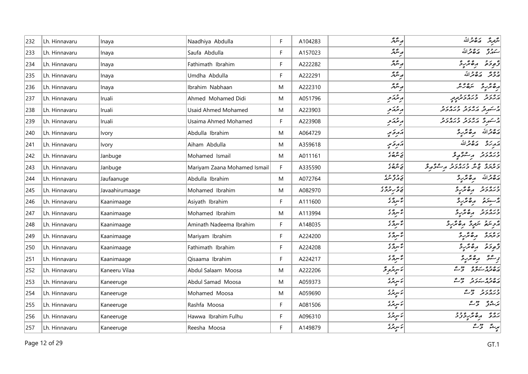| 232 | Lh. Hinnavaru | Inaya          | Naadhiya Abdulla             | F         | A104283 | وبثرثر                                      | ەھىراللە<br>ىترىرىژ                                 |
|-----|---------------|----------------|------------------------------|-----------|---------|---------------------------------------------|-----------------------------------------------------|
| 233 | Lh. Hinnavaru | Inaya          | Saufa Abdulla                | F         | A157023 | وبتثثر                                      | سەدىق<br>برە قراللە                                 |
| 234 | Lh. Hinnavaru | Inaya          | Fathimath Ibrahim            | F         | A222282 | ەستىر                                       | وجودة مقترد                                         |
| 235 | Lh. Hinnavaru | Inaya          | Umdha Abdulla                | F         | A222291 | ەپتىگە                                      | ووء رَهْ مَداللّه                                   |
| 236 | Lh. Hinnavaru | Inaya          | Ibrahim Nabhaan              | M         | A222310 | وبتثثر                                      | رەئرو ئەئ                                           |
| 237 | Lh. Hinnavaru | Iruali         | Ahmed Mohamed Didi           | M         | A051796 | وبخهزمز                                     |                                                     |
| 238 | Lh. Hinnavaru | Iruali         | <b>Usaid Ahmed Mohamed</b>   | ${\sf M}$ | A223903 | وبخهزمز                                     | وكرود والأواد وره داد                               |
| 239 | Lh. Hinnavaru | Iruali         | Usaima Ahmed Mohamed         | F         | A223908 | ارجمذ                                       | وكرونج أورد وره دو                                  |
| 240 | Lh. Hinnavaru | <b>Ivory</b>   | Abdulla Ibrahim              | M         | A064729 | لهزمرعبه                                    | أرەقماللە مەھرىپ                                    |
| 241 | Lh. Hinnavaru | <b>Ivory</b>   | Aiham Abdulla                | M         | A359618 | مەمرغە بىر                                  | أمركز مكافرالله                                     |
| 242 | Lh. Hinnavaru | Janbuge        | Mohamed Ismail               | M         | A011161 | ر ۵ و ٤<br>قع سرچ <sub>ک</sub>              | ورەرو بەسۇپەت                                       |
| 243 | Lh. Hinnavaru | Janbuge        | Mariyam Zaana Mohamed Ismail | F         | A335590 | ر ۵ ۶ ء<br>قع سر <i>ھ ی</i>                 | גם גם גם כגבר בגם הסיבה.<br>כמתכ היית כגבכת הייתובי |
| 244 | Lh. Hinnavaru | Jaufaanuge     | Abdulla Ibrahim              | ${\sf M}$ | A072764 | ر و و و ،<br>نے در تو سرو                   | رە قراللە مەھرىرد                                   |
| 245 | Lh. Hinnavaru | Javaahirumaage | Mohamed Ibrahim              | M         | A082970 | پر څر پر چري<br>  پر څر پر چر <sub>چر</sub> | כנסגב הפיציב                                        |
| 246 | Lh. Hinnavaru | Kaanimaage     | Asiyath Ibrahim              | F         | A111600 | ءً سرچ <sup>ء</sup> ِ                       | أوالمسترهى وتقاربه                                  |
| 247 | Lh. Hinnavaru | Kaanimaage     | Mohamed Ibrahim              | M         | A113994 | ء سرچ ي<br>تا سرچ ي                         | כממכני מסתקב                                        |
| 248 | Lh. Hinnavaru | Kaanimaage     | Aminath Nadeema Ibrahim      | F         | A148035 | ء سرچ ۽<br>ماسرچ ي                          | أزوينه يتبرد وعتربرد                                |
| 249 | Lh. Hinnavaru | Kaanimaage     | Mariyam Ibrahim              | F         | A224200 | پ <sup>و</sup> سرچري                        | ە ھەمەر د<br>ر ه ر ه<br><del>ر</del> بربرگ          |
| 250 | Lh. Hinnavaru | Kaanimaage     | Fathimath Ibrahim            | F         | A224208 | په سرچ ی<br>ما سرچ ی                        | ە ھەترىر ۋ<br>وٌموِ رَمْ                            |
| 251 | Lh. Hinnavaru | Kaanimaage     | Qisaama Ibrahim              | F         | A224217 | ءٌ سرچء                                     | وە ئەربى<br>توستىمى                                 |
| 252 | Lh. Hinnavaru | Kaneeru Vilaa  | Abdul Salaam Moosa           | ${\sf M}$ | A222206 | ئەس <sub>ى</sub> پرىموقە                    | رە دە پەرە<br>مەھىرمەشىۋى                           |
| 253 | Lh. Hinnavaru | Kaneeruge      | Abdul Samad Moosa            | ${\sf M}$ | A059373 | ر<br>مأسو پرې                               | ره وه رر و دو د<br>پرېتربر بروتر و و                |
| 254 | Lh. Hinnavaru | Kaneeruge      | Mohamed Moosa                | M         | A059690 | ر<br>مأسو پرې                               | وره دو دور                                          |
| 255 | Lh. Hinnavaru | Kaneeruge      | Rashfa Moosa                 | F         | A081506 | ر<br>موسر پرې                               | دويم<br>ىرشۇ ئە                                     |
| 256 | Lh. Hinnavaru | Kaneeruge      | Hawwa Ibrahim Fulhu          | F         | A096310 | ئەسەيرى<br>  ئەسەيرى                        | رەپچ<br>ه ه پر د د د<br>بره پر پر و و د             |
| 257 | Lh. Hinnavaru | Kaneeruge      | Reesha Moosa                 | F         | A149879 | ئەمىرىدى<br> ___                            | ىرىش تۇڭ                                            |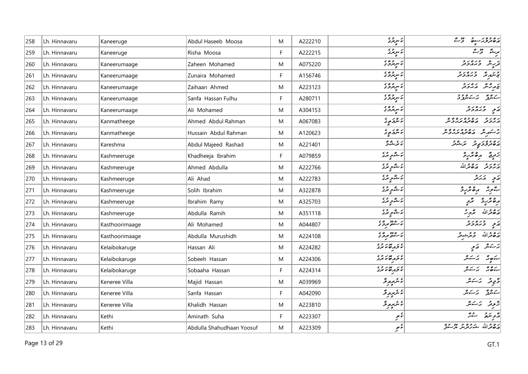| 258 | Lh. Hinnavaru | Kaneeruge      | Abdul Haseeb Moosa        | M           | A222210 | ر<br>موسر پرې                                                                                                                                                                                                                    | ړه وه ريد ده<br>درخوبر سره<br>و مشر                                                                                                                                                                                                                                                                                                                                                                                                                 |
|-----|---------------|----------------|---------------------------|-------------|---------|----------------------------------------------------------------------------------------------------------------------------------------------------------------------------------------------------------------------------------|-----------------------------------------------------------------------------------------------------------------------------------------------------------------------------------------------------------------------------------------------------------------------------------------------------------------------------------------------------------------------------------------------------------------------------------------------------|
| 259 | Lh. Hinnavaru | Kaneeruge      | Risha Moosa               | F           | A222215 | ر<br>موسرپری                                                                                                                                                                                                                     | برنگ ار <i>ائ</i><br>ار                                                                                                                                                                                                                                                                                                                                                                                                                             |
| 260 | Lh. Hinnavaru | Kaneerumaage   | Zaheen Mohamed            | M           | A075220 | ر<br>مأسو پر ژی                                                                                                                                                                                                                  | ترر شده وره د و<br>فرر شد و برو تر                                                                                                                                                                                                                                                                                                                                                                                                                  |
| 261 | Lh. Hinnavaru | Kaneerumaage   | Zunaira Mohamed           | F           | A156746 | ىز سرچرى<br>مەس <sub>ى</sub> پرىرى                                                                                                                                                                                               | و رە ر د<br>تر پروتر<br>چ سکیر بخر                                                                                                                                                                                                                                                                                                                                                                                                                  |
| 262 | Lh. Hinnavaru | Kaneerumaage   | Zaihaan Ahmed             | M           | A223123 | ئەسرچرى<br>_ ئ                                                                                                                                                                                                                   | ىم ئەشكەر ئەرەر د                                                                                                                                                                                                                                                                                                                                                                                                                                   |
| 263 | Lh. Hinnavaru | Kaneerumaage   | Sanfa Hassan Fulhu        | F           | A280711 | ر<br>رأسپر پر دی                                                                                                                                                                                                                 | سەھەر بەسەھەر                                                                                                                                                                                                                                                                                                                                                                                                                                       |
| 264 | Lh. Hinnavaru | Kaneerumaage   | Ali Mohamed               | M           | A304153 | ر<br>مأسر پر ژی                                                                                                                                                                                                                  |                                                                                                                                                                                                                                                                                                                                                                                                                                                     |
| 265 | Lh. Hinnavaru | Kanmatheege    | Ahmed Abdul Rahman        | M           | A067083 | ر ه ر<br>پاسر <sub>چ تو</sub> ر                                                                                                                                                                                                  |                                                                                                                                                                                                                                                                                                                                                                                                                                                     |
| 266 | Lh. Hinnavaru | Kanmatheege    | Hussain Abdul Rahman      | M           | A120623 | بر عربي تحريج                                                                                                                                                                                                                    |                                                                                                                                                                                                                                                                                                                                                                                                                                                     |
| 267 | Lh. Hinnavaru | Kareshma       | Abdul Majeed Rashad       | M           | A221401 | ر ء شره پح                                                                                                                                                                                                                       | ره وه د پرځنگر<br>ماه ترڅرکې تر برخگر                                                                                                                                                                                                                                                                                                                                                                                                               |
| 268 | Lh. Hinnavaru | Kashmeeruge    | Khadheeja Ibrahim         | F           | A079859 | ر مشوچ پرې<br>مشاه                                                                                                                                                                                                               | كزبرق وهتررد                                                                                                                                                                                                                                                                                                                                                                                                                                        |
| 269 | Lh. Hinnavaru | Kashmeeruge    | Ahmed Abdulla             | M           | A222766 | ر هو و و و عر                                                                                                                                                                                                                    | بره برد بره قرالله                                                                                                                                                                                                                                                                                                                                                                                                                                  |
| 270 | Lh. Hinnavaru | Kashmeeruge    | Ali Ahad                  | M           | A222783 | برهوجر                                                                                                                                                                                                                           | $\begin{array}{c cc} & \mathbf{1} & \mathbf{1} & \mathbf{1} \\ & \mathbf{1} & \mathbf{1} & \mathbf{1} \\ & \mathbf{1} & \mathbf{1} & \mathbf{1} \\ & & \mathbf{1} & \mathbf{1} \\ & & & \mathbf{1} & \mathbf{1} \\ & & & & \mathbf{1} \\ & & & & & \mathbf{1} \\ & & & & & & \mathbf{1} \\ & & & & & & \mathbf{1} \\ & & & & & & & \mathbf{1} \\ & & & & & & & & \mathbf{1} \\ & & & & & & & & \mathbf{1} \\ & & & & & & & & & \mathbf{1} \\ & & &$ |
| 271 | Lh. Hinnavaru | Kashmeeruge    | Solih Ibrahim             | M           | A322878 | ر مه د د د د کار د کار د کار د کار د کار د کار د کار د کار د کار د کار د کار د کار د کار د کار د کار د کار د ک<br>مارسی کار د کار د کار د کار د کار د کار د کار د کار د کار د کار د کار د کار د کار د کار د کار د کار د کار د کا | بتور رەپرى                                                                                                                                                                                                                                                                                                                                                                                                                                          |
| 272 | Lh. Hinnavaru | Kashmeeruge    | Ibrahim Ramy              | M           | A325703 | ر<br>ئەشھوپىرى                                                                                                                                                                                                                   | دە ئېرىدى<br>ر<br>بخرجر                                                                                                                                                                                                                                                                                                                                                                                                                             |
| 273 | Lh. Hinnavaru | Kashmeeruge    | Abdulla Ramih             | M           | A351118 | ر مشوچه د <sup>ه</sup>                                                                                                                                                                                                           | 20 مرالله<br>برگرمر                                                                                                                                                                                                                                                                                                                                                                                                                                 |
| 274 | Lh. Hinnavaru | Kasthoorimaage | Ali Mohamed               | M           | A044807 | ر 720 و.<br>ما سوچ پر تر ي                                                                                                                                                                                                       | أمجمع وره رد                                                                                                                                                                                                                                                                                                                                                                                                                                        |
| 275 | Lh. Hinnavaru | Kasthoorimaage | Abdulla Murushidh         | M           | A224108 | ر ۶۵۰۰ ور<br>ما سوه مرد د                                                                                                                                                                                                        | رەقمەللە ئىرىسىر                                                                                                                                                                                                                                                                                                                                                                                                                                    |
| 276 | Lh. Hinnavaru | Kelaibokaruge  | Hassan Ali                | M           | A224282 | ، د بر د ،<br>مزده مرد                                                                                                                                                                                                           | پرستمبر کامی                                                                                                                                                                                                                                                                                                                                                                                                                                        |
| 277 | Lh. Hinnavaru | Kelaibokaruge  | Sobeeh Hassan             | M           | A224306 | ، د بر بر د ،<br>مؤدر ځاندې                                                                                                                                                                                                      | برسەيىتىر<br>بنوچر                                                                                                                                                                                                                                                                                                                                                                                                                                  |
| 278 | Lh. Hinnavaru | Kelaibokaruge  | Sobaaha Hassan            | $\mathsf F$ | A224314 | ، د پر د ،<br>موږه ميږ                                                                                                                                                                                                           | بەلاش بر ئەشر                                                                                                                                                                                                                                                                                                                                                                                                                                       |
| 279 | Lh. Hinnavaru | Keneree Villa  | Majid Hassan              | M           | A039969 | ، ئەبىرە ئ <sup>ۇ</sup>                                                                                                                                                                                                          | ۇي <sub>م</sub> ىز ئەسەھ                                                                                                                                                                                                                                                                                                                                                                                                                            |
| 280 | Lh. Hinnavaru | Keneree Villa  | Sanfa Hassan              | $\mathsf F$ | A042090 | ، ئەبىرە ۋ                                                                                                                                                                                                                       | سەسرى برسەس                                                                                                                                                                                                                                                                                                                                                                                                                                         |
| 281 | Lh. Hinnavaru | Keneree Villa  | Khalidh Hassan            | M           | A223810 | ، ئەبىرە ۋ                                                                                                                                                                                                                       | تزموش الاسكانس                                                                                                                                                                                                                                                                                                                                                                                                                                      |
| 282 | Lh. Hinnavaru | Kethi          | Aminath Suha              | F           | A223307 | ء<br>موس                                                                                                                                                                                                                         | ومحر سنرس المستركز                                                                                                                                                                                                                                                                                                                                                                                                                                  |
| 283 | Lh. Hinnavaru | Kethi          | Abdulla Shahudhaan Yoosuf | M           | A223309 | ء<br>موھ                                                                                                                                                                                                                         | رە داللە ھەر دە دە دە                                                                                                                                                                                                                                                                                                                                                                                                                               |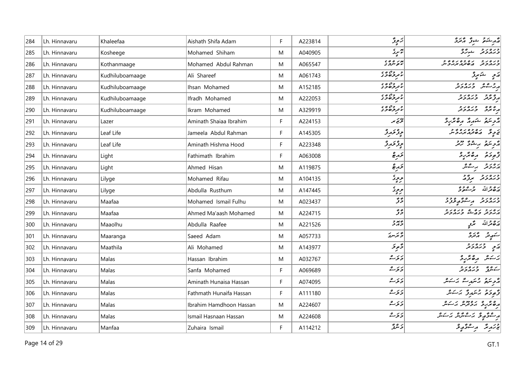| 284 | Lh. Hinnavaru | Khaleefaa       | Aishath Shifa Adam      | F  | A223814 | زَرٍوٌ                             | وأرشكم شرق والارد                         |
|-----|---------------|-----------------|-------------------------|----|---------|------------------------------------|-------------------------------------------|
| 285 | Lh. Hinnavaru | Kosheege        | Mohamed Shiham          | M  | A040905 | لتمبرجه                            | ورەرو ئىدۇۋ                               |
| 286 | Lh. Hinnavaru | Kothanmaage     | Mohamed Abdul Rahman    | M  | A065547 | پر رہ دی<br>  رہ مرکز <sub>ک</sub> |                                           |
| 287 | Lh. Hinnavaru | Kudhiluboamaage | Ali Shareef             | M  | A061743 | و وه وي<br>موروه و د               | أەكىم ئىستىمبرىژ                          |
| 288 | Lh. Hinnavaru | Kudhiluboamaage | Ihsan Mohamed           | M  | A152185 | و وه ۶۵<br>ما تورگ د د             | ورمان ورەرد                               |
| 289 | Lh. Hinnavaru | Kudhiluboamaage | Ifradh Mohamed          | M  | A222053 | و وه وه و .<br>ما مرموه و د        | ە 2012 - 2012.<br>مۇمۇمىر <i>27م</i> 5مىر |
| 290 | Lh. Hinnavaru | Kudhiluboamaage | Ikram Mohamed           | M  | A329919 | و وه وه<br>ما ترمزه ژ د            | ם מם כנסנב<br>געי <i>גב בג</i> גבע        |
| 291 | Lh. Hinnavaru | Lazer           | Aminath Shaiaa Ibrahim  | F  | A224153 | دے پر<br>محریم مر                  | أزوينهم تكررا أره بردو                    |
| 292 | Lh. Hinnavaru | Leaf Life       | Jameela Abdul Rahman    | F  | A145305 | ووڅه د                             | ر و ده ده ده و د                          |
| 293 | Lh. Hinnavaru | Leaf Life       | Aminath Hishma Hood     | F. | A223348 | ووځه د                             | أأدبتهم برحاة المحمر                      |
| 294 | Lh. Hinnavaru | Light           | Fathimath Ibrahim       | F  | A063008 | خرم                                | ژوده مقتر                                 |
| 295 | Lh. Hinnavaru | Light           | Ahmed Hisan             | M  | A119875 | خرج                                | رەرو بەشكە                                |
| 296 | Lh. Hinnavaru | Lilyge          | Mohamed Rifau           | M  | A104135 | مومودگا<br>مرگیب                   | כנסני תיבי                                |
| 297 | Lh. Hinnavaru | Lilyge          | Abdulla Rusthum         | M  | A147445 | مومو <sup>ي</sup><br>مرتو          | برە تراللە<br>د ۱۶۵ وه<br>بر شومو         |
| 298 | Lh. Hinnavaru | Maafaa          | Mohamed Ismail Fulhu    | M  | A023437 | وٌوٌ                               | ورەرو مەھمەدود                            |
| 299 | Lh. Hinnavaru | Maafaa          | Ahmed Ma'aash Mohamed   | M  | A224715 | وٌ                                 | ره رو رو ه وره رو<br>مدونر وه شو وبرمونر  |
| 300 | Lh. Hinnavaru | Maaolhu         | Abdulla Raafee          | M  | A221526 | پر بر و<br>تر <i>آر</i> نو         | برة قرالله<br>تتمر                        |
| 301 | Lh. Hinnavaru | Maaranga        | Saeed Adam              | M  | A057733 | ۇ ئەس <i>ى</i> كە                  | سكەر ئەرە                                 |
| 302 | Lh. Hinnavaru | Maathila        | Ali Mohamed             | M  | A143977 | ځېږځه                              |                                           |
| 303 | Lh. Hinnavaru | Malas           | Hassan Ibrahim          | M  | A032767 | ىز ئە                              | بركستين مره محرره                         |
| 304 | Lh. Hinnavaru | Malas           | Sanfa Mohamed           | F  | A069689 | ىز ئە                              | ر ور ورورو<br>سەملا كەبرەك                |
| 305 | Lh. Hinnavaru | Malas           | Aminath Hunaisa Hassan  | F  | A074095 | ىز ئە                              | أدوسم بالمندع بمسكر                       |
| 306 | Lh. Hinnavaru | Malas           | Fathmath Hunaifa Hassan | F  | A111180 | ىز ئە                              | ۋودۇ باشگۇ ئاسكى                          |
| 307 | Lh. Hinnavaru | Malas           | Ibrahim Hamdhoon Hassan | M  | A224607 | ىز ئە                              | وه نگرد بروترس برگرم                      |
| 308 | Lh. Hinnavaru | Malas           | Ismail Hasnaan Hassan   | M  | A224608 | ىز ئەر                             | ړ هغږدي پر عمره بر ده .                   |
| 309 | Lh. Hinnavaru | Manfaa          | Zuhaira Ismail          | F  | A114212 | ىر ھەمچ                            | ى ئەربۇ بەسىۋە ي                          |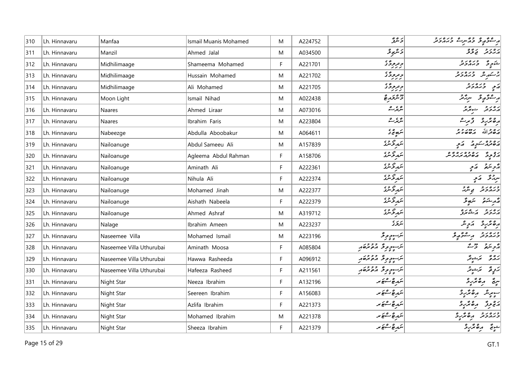| 310 | Lh. Hinnavaru | Manfaa                   | Ismail Muanis Mohamed | M         | A224752 | ر ه پژ                           | و مشخور و در در در در در                                   |
|-----|---------------|--------------------------|-----------------------|-----------|---------|----------------------------------|------------------------------------------------------------|
| 311 | Lh. Hinnavaru | Manzil                   | Ahmed Jalal           | M         | A034500 | ئەشرىپ بۇ                        | رەر دىرە                                                   |
| 312 | Lh. Hinnavaru | Midhilimaage             | Shameema Mohamed      | F         | A221701 | اوىروۇ ئى<br><u>سىر</u>          | و ره ر د<br>تر پر ژمر<br>شکو و گر                          |
| 313 | Lh. Hinnavaru | Midhilimaage             | Hussain Mohamed       | M         | A221702 | او درود و ،<br><u>در د د</u>     | جر شهر مده در در د                                         |
| 314 | Lh. Hinnavaru | Midhilimaage             | Ali Mohamed           | M         | A221705 | او درود و ؟<br><u>ب ب</u>        | أيمو وره رد                                                |
| 315 | Lh. Hinnavaru | Moon Light               | Ismail Nihad          | M         | A022438 | وده ره<br>د سر <sub>خرار</sub> ه | برڪرد پور سرگرد                                            |
| 316 | Lh. Hinnavaru | <b>Naares</b>            | Ahmed Liraar          | ${\sf M}$ | A073016 | پڑ پر ہ                          | رەر ئەرىپىر<br>مەركى ئىمگىر                                |
| 317 | Lh. Hinnavaru | Naares                   | Ibrahim Faris         | ${\sf M}$ | A223804 | پرې ه                            | ۇ ئىر مە<br>ەھ ئۈر ۋ                                       |
| 318 | Lh. Hinnavaru | Nabeezge                 | Abdulla Aboobakur     | M         | A064611 | پر چە ج<br>سرچە ئ                | برە دالله<br>77/77/                                        |
| 319 | Lh. Hinnavaru | Nailoanuge               | Abdul Sameeu Ali      | M         | A157839 | يتدعويني                         | גם כם הבה הב                                               |
| 320 | Lh. Hinnavaru | Nailoanuge               | Agleema Abdul Rahman  | F         | A158706 | بر و و ،<br>سرگرسر               | ره وه ره د ه<br>پره تربر تر تر<br>برء ويح                  |
| 321 | Lh. Hinnavaru | Nailoanuge               | Aminath Ali           | F         | A222361 | يئد دعمي                         | أأدبتهم أأو                                                |
| 322 | Lh. Hinnavaru | Nailoanuge               | Nihula Ali            | F         | A222374 | يندعون                           | سرچينې کمنځ                                                |
| 323 | Lh. Hinnavaru | Nailoanuge               | Mohamed Jinah         | ${\sf M}$ | A222377 | يئد وهي                          | و ره ر د<br>د بر د تر تر<br>ہ مگر <sup>2</sup>             |
| 324 | Lh. Hinnavaru | Nailoanuge               | Aishath Nabeela       | F         | A222379 | يئد وهي                          | أقهر مشقوق التكويح                                         |
| 325 | Lh. Hinnavaru | Nailoanuge               | Ahmed Ashraf          | ${\sf M}$ | A319712 | يئدى وي                          | ره رو بر ۱۵ ره<br>پرېدنر پر شورو                           |
| 326 | Lh. Hinnavaru | Nalage                   | Ibrahim Ameen         | M         | A223237 | ىرىر ›<br>سرىۋى                  | رەترىر تەرىر                                               |
| 327 | Lh. Hinnavaru | Naseemee Villa           | Mohamed Ismail        | M         | A223196 | ىئەسى <sub>ۋ</sub> بورگە         |                                                            |
| 328 | Lh. Hinnavaru | Naseemee Villa Uthurubai | Aminath Moosa         | F         | A085804 |                                  | حر مئے<br>لأحر يئرة                                        |
| 329 | Lh. Hinnavaru | Naseemee Villa Uthurubai | Hawwa Rasheeda        | F         | A096912 |                                  | برە پىر<br>ىمەرشەقە                                        |
| 330 | Lh. Hinnavaru | Naseemee Villa Uthurubai | Hafeeza Rasheed       | F         | A211561 | ת - קיק פי הקבלת<br>- דורק הקבלת | <i>ړُوٍ پُوَ پُوَ پُوَ پُوَ پِ</i>                         |
| 331 | Lh. Hinnavaru | Night Star               | Neeza Ibrahim         | F         | A132196 | سَم <i>دِ ڇ</i> ُ سُوءِ س        |                                                            |
| 332 | Lh. Hinnavaru | Night Star               | Seereen Ibrahim       | F         | A156083 | سكره طيء سكرة بر                 | ەھ تررۈ<br>اسوبریٹر<br>شقیقہ                               |
| 333 | Lh. Hinnavaru | Night Star               | Azlifa Ibrahim        | F         | A221373 | سكەر ھىسكەتتىر                   | ەيجىمۇتى<br>وە ئەربە                                       |
| 334 | Lh. Hinnavaru | Night Star               | Mohamed Ibrahim       | M         | A221378 | يئده عصفح بر                     | و ر ه ر و<br><i>و پر</i> پر تر<br>ە ھەمرىر 2<br>برھەمرىر 2 |
| 335 | Lh. Hinnavaru | Night Star               | Sheeza Ibrahim        | F         | A221379 | لترمط سقيمته                     | شویج در ۱۵ مگر رو                                          |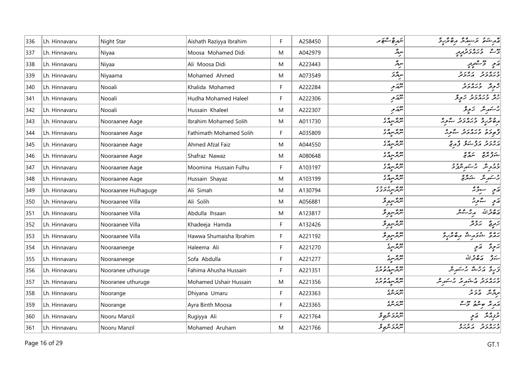| 336 | Lh. Hinnavaru | Night Star          | Aishath Raziyya Ibrahim     | F         | A258450 | سَمَدِ ڪَ حصَن مَد                        | وأرشكني ترسورة وكالربرد                                                                                                                                                                                                        |
|-----|---------------|---------------------|-----------------------------|-----------|---------|-------------------------------------------|--------------------------------------------------------------------------------------------------------------------------------------------------------------------------------------------------------------------------------|
| 337 | Lh. Hinnavaru | Niyaa               | Moosa Mohamed Didi          | M         | A042979 | سرگر                                      | دو مصر و ره رو در در در در بر در این کار در این کار در این کار در این کار در این کار در این کار در این کار در<br>این کار در این کار در این کار در این کار در این کار در این کار در این کار در این کار در این کار در این کار در |
| 338 | Lh. Hinnavaru | Niyaa               | Ali Moosa Didi              | M         | A223443 | سرتر                                      | ر<br>په د مختصوبور<br>په د پ                                                                                                                                                                                                   |
| 339 | Lh. Hinnavaru | Niyaama             | Mohamed Ahmed               | M         | A073549 | سردر                                      | כנסנכ נסנכ<br>כגמכת הגבת                                                                                                                                                                                                       |
| 340 | Lh. Hinnavaru | Nooali              | Khalida Mohamed             | F         | A222284 | انتهزمه                                   | أزٌجِرَّ وَرَوْدُو                                                                                                                                                                                                             |
| 341 | Lh. Hinnavaru | Nooali              | <b>Hudha Mohamed Haleel</b> | F         | A222306 | انتهزمز                                   | وه وره دو ژوید                                                                                                                                                                                                                 |
| 342 | Lh. Hinnavaru | Nooali              | Hussain Khaleel             | ${\sf M}$ | A222307 | انتزمز                                    | يزخير شران ويحياني                                                                                                                                                                                                             |
| 343 | Lh. Hinnavaru | Nooraanee Aage      | Ibrahim Mohamed Solih       | ${\sf M}$ | A011730 | دو پر پره<br>سرپرسرۍ                      | ره عربه وره دو مستور                                                                                                                                                                                                           |
| 344 | Lh. Hinnavaru | Nooraanee Aage      | Fathimath Mohamed Solih     | F         | A035809 | ترىژسرىرى                                 | و د د دره د و د و.<br>ژبوده د برود شور                                                                                                                                                                                         |
| 345 | Lh. Hinnavaru | Nooraanee Aage      | Ahmed Afzal Faiz            | M         | A044550 | دو پر پروتان<br>سرچرسوړن                  | ړه د د پرو شکو او د ځ                                                                                                                                                                                                          |
| 346 | Lh. Hinnavaru | Nooraanee Aage      | Shafraz Nawaz               | M         | A080648 | دو پر سر دي<br>سرچر سر                    | شۇنرىرى بىرە ئ                                                                                                                                                                                                                 |
| 347 | Lh. Hinnavaru | Nooraanee Aage      | Moomina Hussain Fulhu       | F         | A103197 | دو پر مرکز د<br>سرچرسور                   | وړ <sub>و م</sub> گر برخته مورو                                                                                                                                                                                                |
| 348 | Lh. Hinnavaru | Nooraanee Aage      | Hussain Shayaz              | M         | A103199 | ترىژىيەدى                                 | رحم میں منصر<br>میں منص                                                                                                                                                                                                        |
| 349 | Lh. Hinnavaru | Nooraanee Hulhaguge | Ali Simah                   | ${\sf M}$ | A130794 | دو پر سرچ را د ه<br>سرچرس د د د           | $25 - 25$                                                                                                                                                                                                                      |
| 350 | Lh. Hinnavaru | Nooraanee Villa     | Ali Solih                   | M         | A056881 | ترىژىيرە ئۇ                               | أة مع المجمور                                                                                                                                                                                                                  |
| 351 | Lh. Hinnavaru | Nooraanee Villa     | Abdulla Ihsaan              | ${\sf M}$ | A123817 | يزىر<br>سرىر سرە مۇ                       | برة قرالله<br>وبرششر                                                                                                                                                                                                           |
| 352 | Lh. Hinnavaru | Nooraanee Villa     | Khadeeja Hamda              | F         | A132426 | تربر يبر <sub>عر</sub> بحر                | كَ مَعْ مَدَّوَمَّا مِنْ                                                                                                                                                                                                       |
| 353 | Lh. Hinnavaru | Nooraanee Villa     | Hawwa Shumaisha Ibrahim     | F         | A221192 | تر پژمېږ <sub>د</sub> وگ                  |                                                                                                                                                                                                                                |
| 354 | Lh. Hinnavaru | Nooraaneege         | Haleema Ali                 | F         | A221270 | دو پر<br>سربر سرپر                        | ړې ډې                                                                                                                                                                                                                          |
| 355 | Lh. Hinnavaru | Nooraaneege         | Sofa Abdulla                | F         | A221277 | دو پر<br>سربگرس <u>ره</u>                 | بَوَّرٌ مَهْ صَرَّاللَّهُ                                                                                                                                                                                                      |
| 356 | Lh. Hinnavaru | Nooranee uthuruge   | Fahima Ahusha Hussain       | F         | A221351 | מ זי זי די די<br>ייתול ייתול זי זי ג      | وَرِدَّ مَنْ شَدَّ بْرَ سَمَرِ سَ                                                                                                                                                                                              |
| 357 | Lh. Hinnavaru | Nooranee uthuruge   | Mohamed Ushair Hussain      | ${\sf M}$ | A221356 | מ זי זי די די<br>תוצייקו <i>ת זי די</i> ז | ورەرو ويمرکز رئىكرىگ                                                                                                                                                                                                           |
| 358 | Lh. Hinnavaru | Noorange            | Dhiyana Umaru               | F         | A223363 | دد بر ه ،<br>سرپرسر                       | مرتر شر در د                                                                                                                                                                                                                   |
| 359 | Lh. Hinnavaru | Noorange            | Ayra Binth Moosa            | F         | A223365 | دد بر ه ،<br>سرپرسر                       | ړ په کې حاصر وخت                                                                                                                                                                                                               |
| 360 | Lh. Hinnavaru | Nooru Manzil        | Rugiyya Ali                 | F         | A221764 | <br> سربرى مربى عمر                       | پرتو پر کام کر پر                                                                                                                                                                                                              |
| 361 | Lh. Hinnavaru | Nooru Manzil        | Mohamed Aruham              | ${\sf M}$ | A221766 | يزچر عربي بحر                             | כנסנכ נבנס<br>כגהכת הצגב                                                                                                                                                                                                       |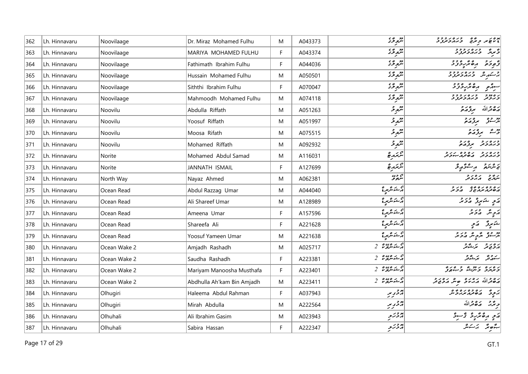| 362 | Lh. Hinnavaru | Noovilaage     | Dr. Miraz Mohamed Fulhu    | M  | A043373 | دد پر پر<br>سر <sub>گو</sub> بر پر | بره د بره دره دود.<br>۱۳۳۹ د برنج د بررد تروند           |
|-----|---------------|----------------|----------------------------|----|---------|------------------------------------|----------------------------------------------------------|
| 363 | Lh. Hinnavaru | Noovilaage     | MARIYA MOHAMED FULHU       | F  | A043374 | دد په په<br>سرچ څرنه               | و دره دودو                                               |
| 364 | Lh. Hinnavaru | Noovilaage     | Fathimath Ibrahim Fulhu    | F. | A044036 | دد<br>متر <sub>جو م</sub> ور       | ژوده رەپزىرور                                            |
| 365 | Lh. Hinnavaru | Noovilaage     | Hussain Mohamed Fulhu      | M  | A050501 | دد د د ،<br>متره د د               | و در و در در دود<br>پر شهر شهر د بر در در د              |
| 366 | Lh. Hinnavaru | Noovilaage     | Siththi Ibrahim Fulhu      | F  | A070047 | دد پر پر<br>سر <sub>گر</sub> بر بر | سوړه ده درونونو                                          |
| 367 | Lh. Hinnavaru | Noovilaage     | Mahmoodh Mohamed Fulhu     | M  | A074118 | دد پر پر<br>سر <sub>گو</sub> بر پر | נפחת כנסנכבר<br>כגבה כגובהקה                             |
| 368 | Lh. Hinnavaru | <b>Noovilu</b> | Abdulla Riffath            | M  | A051263 | لترهر فحر                          | بره دالله مو <i>ده و</i>                                 |
| 369 | Lh. Hinnavaru | Noovilu        | Yoosuf Riffath             | M  | A051997 | لترهر فحر                          | بروده<br>دد و ه<br>در سور                                |
| 370 | Lh. Hinnavaru | Noovilu        | Moosa Rifath               | M  | A075515 | يتره چ                             | دو می دره در د                                           |
| 371 | Lh. Hinnavaru | Noovilu        | Mohamed Riffath            | M  | A092932 | يتر <sub>عر</sub> تحر              | 21012 21012<br>CLRCK 75013                               |
| 372 | Lh. Hinnavaru | Norite         | Mohamed Abdul Samad        | M  | A116031 | ترىرىرغ                            | وره رو ده وه ررو<br><i>وب</i> رمرونر م <i>ن</i> اصرمبوتر |
| 373 | Lh. Hinnavaru | Norite         | JANNATH ISMAIL             | F  | A127699 | ترىرىرغ                            | يے شرینري پر صرف مرفر                                    |
| 374 | Lh. Hinnavaru | North Way      | Nayaz Ahmed                | M  | A062381 | ە دى<br>سرە ۋ                      | شروح برورج                                               |
| 375 | Lh. Hinnavaru | Ocean Read     | Abdul Razzag Umar          | M  | A044040 | م<br>ارکشه شریع دیگر<br>ا          | נסכסנסים כנכ<br>הסנגיגה בל הכינ                          |
| 376 | Lh. Hinnavaru | Ocean Read     | Ali Shareef Umar           | M  | A128989 | م<br>مشاهر مرسم معر                | ړَي ځېږدو ډر پر                                          |
| 377 | Lh. Hinnavaru | Ocean Read     | Ameena Umar                | F  | A157596 | لرمشة مريده                        | أروبتر أرواد                                             |
| 378 | Lh. Hinnavaru | Ocean Read     | Shareefa Ali               | F. | A221628 | رمستشعر پر م                       | شَهَرِزٌ - مَرَمٍ                                        |
| 379 | Lh. Hinnavaru | Ocean Read     | Yoosuf Yameen Umar         | M  | A221638 | لرمشة مريده                        | ור כם ה'קטר הבית<br>וקרייני וקבית והכית                  |
| 380 | Lh. Hinnavaru | Ocean Wake 2   | Amjadh Rashadh             | M  | A025717 | 29401                              | رە روپە كەشىر<br>مەرقى تىر بىر كىشى كىل                  |
| 381 | Lh. Hinnavaru | Ocean Wake 2   | Saudha Rashadh             | F. | A223381 | م د وه و 2<br>م شوسرو 2            | سەرە كەشكەر                                              |
| 382 | Lh. Hinnavaru | Ocean Wake 2   | Mariyam Manoosha Musthafa  | F  | A223401 | م شەھەم 2                          | ر و ر و د در د و در د<br>تر پر برخ د سرچگی د سوچ         |
| 383 | Lh. Hinnavaru | Ocean Wake 2   | Abdhulla Ah'kam Bin Amjadh | M  | A223411 | ەكمەشەھەر 2                        | رە داللە كەررە ھىر كەر د                                 |
| 384 | Lh. Hinnavaru | Olhugiri       | Haleema Abdul Rahman       | F  | A037943 | بو و<br>د ترې مر                   | - 2010701 277                                            |
| 385 | Lh. Hinnavaru | Olhugiri       | Mirah Abdulla              | M  | A222564 | بو و<br>د تر <sub>سر</sub> بر      | حرمكرج وكالحقرالله                                       |
| 386 | Lh. Hinnavaru | Olhuhali       | Ali Ibrahim Gasim          | Μ  | A023943 | پروژمو                             | ړې ره ټرېږ و سره                                         |
| 387 | Lh. Hinnavaru | Olhuhali       | Sabira Hassan              | F  | A222347 | الرورير                            | بەھ ئەسەر                                                |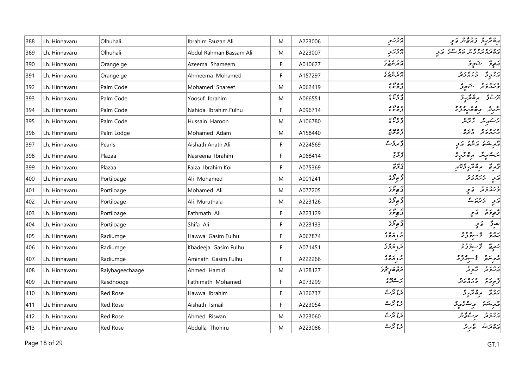| 388 | Lh. Hinnavaru | Olhuhali        | Ibrahim Fauzan Ali      | M         | A223006 | بروری                                | مرە ئەرە بەدە ئەير                                        |
|-----|---------------|-----------------|-------------------------|-----------|---------|--------------------------------------|-----------------------------------------------------------|
| 389 | Lh. Hinnavaru | Olhuhali        | Abdul Rahman Bassam Ali | M         | A223007 | لبردير                               | גם כם גם גם גם ג'ב ג'ב<br>ג'סינג' ג'בינג' שג' ייב" ג'ב    |
| 390 | Lh. Hinnavaru | Orange ge       | Azeema Shameem          | F         | A010627 | پر ی ره و ی<br>در تر شریع ی          |                                                           |
| 391 | Lh. Hinnavaru | Orange ge       | Ahmeema Mohamed         | F         | A157297 | بر د ه و د<br>د مرس                  | و ر ه ر و<br><i>و ټ</i> رو تر<br>ىر 2 <sub>ىچ</sub> ە پىر |
| 392 | Lh. Hinnavaru | Palm Code       | Mohamed Shareef         | M         | A062419 | 0000                                 | ورەرو شىرو                                                |
| 393 | Lh. Hinnavaru | Palm Code       | Yoosuf Ibrahim          | M         | A066551 | 0000                                 | מי כפי ה- <i>סית כ</i>                                    |
| 394 | Lh. Hinnavaru | Palm Code       | Nahida Ibrahim Fulhu    | F         | A096714 | ږه ۵۵ ه<br>بر د ۷ و                  | تربيد رەترىرور                                            |
| 395 | Lh. Hinnavaru | Palm Code       | Hussain Haroon          | M         | A106780 | پره ٥٥<br>ورس و                      | د سور هر د ده ه                                           |
| 396 | Lh. Hinnavaru | Palm Lodge      | Mohamed Adam            | M         | A158440 | ء ە يو ە<br>تر تر يى                 | כנסנכ שנס                                                 |
| 397 | Lh. Hinnavaru | Pearls          | Aishath Anath Ali       | F         | A224569 | ۇ برۇ بە                             | أقهر يشتم وتستبعى وتنجيه                                  |
| 398 | Lh. Hinnavaru | Plazaa          | Nasreena Ibrahim        | F.        | A068414 | ە ئەنج<br>ئۇنى ئى                    | يركوبريتر المقتربرة                                       |
| 399 | Lh. Hinnavaru | Plazaa          | Faiza Ibrahim Koi       | F         | A075369 | ویژنج                                |                                                           |
| 400 | Lh. Hinnavaru | Portiloage      | Ali Mohamed             | M         | A001241 | ہ ج ج<br>بڑ ج مر <sub>ک</sub>        | أمجمع وره دو                                              |
| 401 | Lh. Hinnavaru | Portiloage      | Mohamed Ali             | M         | A077205 | وحوي                                 | ورەرو كې                                                  |
| 402 | Lh. Hinnavaru | Portiloage      | Ali Muruthala           | M         | A223126 | ۾ ج ج<br>اگر جو پور                  | أەمو دىرەت                                                |
| 403 | Lh. Hinnavaru | Portiloage      | Fathmath Ali            | F         | A223129 | وحوي                                 | ومجودة المأمر                                             |
| 404 | Lh. Hinnavaru | Portiloage      | Shifa Ali               | F         | A223133 | وصيحة                                | المعرق أمكني                                              |
| 405 | Lh. Hinnavaru | Radiumge        | Hawwa Gasim Fulhu       | F         | A067874 | ې په ده ،<br>مرد مرد د               | رەپ <sub>ە</sub><br>بەدە تخ <sup>ىر</sup> دى              |
| 406 | Lh. Hinnavaru | Radiumge        | Khadeeja Gasim Fulhu    | F         | A071451 | ې ده ې<br>مروکون                     | زَمِرِةً تَوَسِّرُونَرْ                                   |
| 407 | Lh. Hinnavaru | Radiumge        | Aminath Gasim Fulhu     | F         | A222266 | ړ ده ده<br>مرغ درو د                 | ومريد في المعدود                                          |
| 408 | Lh. Hinnavaru | Raiybageechaage | Ahmed Hamid             | ${\sf M}$ | A128127 | ره د په ده د                         | رەرو پەدىر                                                |
| 409 | Lh. Hinnavaru | Rasdhooge       | Fathimath Mohamed       | F         | A073299 | ر ۱۵۶۵ و.<br>مرگوتری                 | قروح ورەرد                                                |
| 410 | Lh. Hinnavaru | Red Rose        | Hawwa Ibrahim           | F         | A126737 | ، ە ە مەر<br>مون <sub>ى</sub> مىرىسە |                                                           |
| 411 | Lh. Hinnavaru | <b>Red Rose</b> | Aishath Ismail          | F         | A223054 | ، ە ە مەر<br>مون <sub>ى</sub> مىرىسە | مەر شىم بىر سىر ئىر ئى                                    |
| 412 | Lh. Hinnavaru | Red Rose        | Ahmed Riswan            | M         | A223060 | ، ە ەر<br>ئىر بى ئىرگ                | ر ە ر د<br>م <i>.ئ</i> رىر<br>برىشۇ بىر                   |
| 413 | Lh. Hinnavaru | Red Rose        | Abdulla Thohiru         | ${\sf M}$ | A223086 | <sup>ی ہ م</sup> ی ہے                | مَدْهُ مَّرَاللَّهُ مَجَرَ مِرْ                           |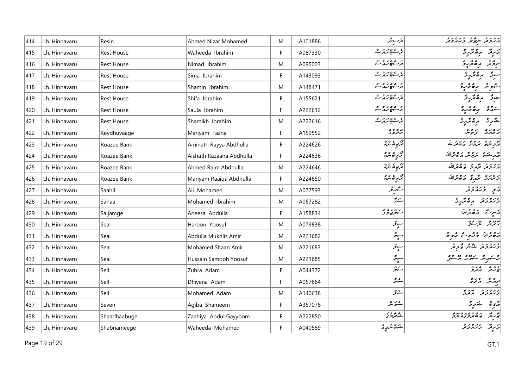| 414 | Lh. Hinnavaru | Resin             | Ahmed Nizar Mohamed      | M         | A101886 | بمرسەمىر                              | גם גדי יישי כגום גב                                    |
|-----|---------------|-------------------|--------------------------|-----------|---------|---------------------------------------|--------------------------------------------------------|
| 415 | Lh. Hinnavaru | <b>Rest House</b> | Waheeda Ibrahim          | F         | A087330 | ې ده ور د ه<br>پر شوم پر د په         | وَرِيمٌ مِنْ مُرْحِرِ                                  |
| 416 | Lh. Hinnavaru | <b>Rest House</b> | Nimad Ibrahim            | M         | A095003 | ى مەھ <i>ئەد</i> ىسە                  | سرچمتر<br>ەھ تررۋ                                      |
| 417 | Lh. Hinnavaru | <b>Rest House</b> | Sima Ibrahim             | F         | A143093 | ې موه پر د ه<br>تر سوچ <i>ز</i> ېر شر | ە ھەترىر ۋ<br>سبوشح                                    |
| 418 | Lh. Hinnavaru | <b>Rest House</b> | Shamin Ibrahim           | M         | A148471 | ې ده ور د ه<br>تر شو <u>لو</u> ر شو   | ەھ ئرىرى<br>الشور مر<br>مسلم                           |
| 419 | Lh. Hinnavaru | <b>Rest House</b> | Shifa Ibrahim            | F         | A155621 | ې ده وبر د ه<br>تر شوم <i>د تر</i>    | شووٌ<br>رە ئۈرۈ                                        |
| 420 | Lh. Hinnavaru | <b>Rest House</b> | Saula Ibrahim            | F         | A222612 | ې ده وبر د ه<br>تر شو <i>تر</i> تر شو | ەھ ئۈرۈ<br>سەپەتى                                      |
| 421 | Lh. Hinnavaru | <b>Rest House</b> | Shamikh Ibrahim          | ${\sf M}$ | A222616 | ې ده ور د ه<br>تر شو تر پر ش          | ەھ ترىر 3<br>ڪ <sub>و</sub> ر                          |
| 422 | Lh. Hinnavaru | Reydhuvaage       | Mariyam Fazna            | F         | A159552 | ړ، و و ،<br>مونونو ی                  | رەرە روش                                               |
| 423 | Lh. Hinnavaru | Roazee Bank       | Aminath Rayya Abdhulla   | F         | A224626 | جري ځ مريز                            | وحب المعاملة الله الله                                 |
| 424 | Lh. Hinnavaru | Roazee Bank       | Aishath Razaana Abdhulla | F         | A224636 | ان<br>مربح ھوگر                       | مەم شەم سىنى ئىر مەھىراللە                             |
| 425 | Lh. Hinnavaru | Roazee Bank       | Ahmed Raim Abdhulla      | M         | A224646 | ەر يەھ بىر بە<br>ئىرىپى ھىر بىر       | أبروير بمروح وكافدالله                                 |
| 426 | Lh. Hinnavaru | Roazee Bank       | Mariyam Raaiqa Abdhulla  | F         | A224650 | ە يەھ مىرىم<br>ئىس ھەمىرىم            | ح مرده محمدتخ مقصرالله                                 |
| 427 | Lh. Hinnavaru | Saahil            | Ali Mohamed              | ${\sf M}$ | A077593 | سەبەير                                | أەبح درەرد                                             |
| 428 | Lh. Hinnavaru | Sahaa             | Mohamed Ibrahim          | ${\sf M}$ | A067282 | يەم                                   | ورەرو مەئرو                                            |
| 429 | Lh. Hinnavaru | Saljamge          | Aneesa Abdulla           | F         | A158834 | ر ه د ه ،<br>ستوقع و د                | أترسيءَ تَمْ صَدْللّه                                  |
| 430 | Lh. Hinnavaru | Seal              | Haroon Yoosuf            | M         | A073838 | سوقر                                  | م دو مار دو وه<br>رسمن سر الر                          |
| 431 | Lh. Hinnavaru | Seal              | Abdulla Mukhlis Amir     | ${\sf M}$ | A221682 | سوقر                                  | رە داللە دىمرې ھېر                                     |
| 432 | Lh. Hinnavaru | Seal              | Mohamed Shaan Amir       | ${\sf M}$ | A221683 | سوعر                                  | ورەرو شەھ كەرىر                                        |
| 433 | Lh. Hinnavaru | Seal              | Hussain Samooh Yoosuf    | M         | A221685 | سوعر                                  | ج کے مرحد حدود وہ<br>برگے مرکب حدود اور سور            |
| 434 | Lh. Hinnavaru | Sell              | Zuhra Adam               | F         | A044372 | سەۋ                                   | وه پر پیمره<br>بح <sup>ر</sup> برگترو                  |
| 435 | Lh. Hinnavaru | Sell              | Dhiyana Adam             | F         | A057664 | يەھ                                   | ىرە <i>گە ئەترە</i>                                    |
| 436 | Lh. Hinnavaru | $\sf_{\sf{Sell}}$ | Mohamed Adam             | ${\sf M}$ | A140638 | يەھ                                   | وره رو وره<br><i>وب</i> رمرونر م <i>ر</i> ترو          |
| 437 | Lh. Hinnavaru | Seven             | Agiba Shameem            | F         | A357078 | ے پر <u>ہ</u>                         | ړٌ تو هٌ د شَوَدُ                                      |
| 438 | Lh. Hinnavaru | Shaadhaabuge      | Zaahiya Abdul Gayyoom    | F         | A222850 | ر د د د د<br>ستوتر <i>ه د</i>         | ر ۵ ۶ ۵ ۶ ۵ وه<br>ג ځ تر پر پر بر پر<br>پر<br>پنج سرچڻ |
| 439 | Lh. Hinnavaru | Shabnameege       | Waheeda Mohamed          | F         | A040589 | ڪ <i>ھيڪو</i> ئ                       | كوبيتر ورەرد                                           |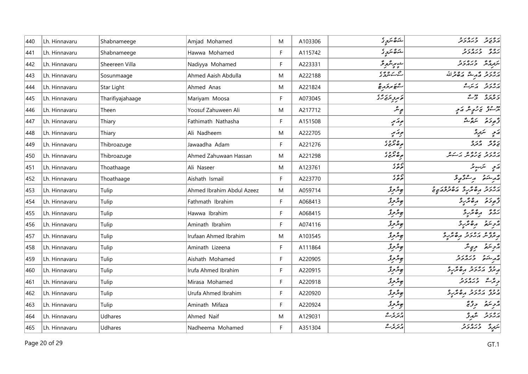| 440 | Lh. Hinnavaru | Shabnameege       | Amjad Mohamed             | M           | A103306 | ے کا سر <sub>حی</sub> کی                       | ג סג כ ג סגב<br>ג כ ב ב ג ג ב ג                                                                                                                                                                                                                                                                                     |
|-----|---------------|-------------------|---------------------------|-------------|---------|------------------------------------------------|---------------------------------------------------------------------------------------------------------------------------------------------------------------------------------------------------------------------------------------------------------------------------------------------------------------------|
| 441 | Lh. Hinnavaru | Shabnameege       | Hawwa Mohamed             | F           | A115742 | الشوه مرد پر                                   | رە بە<br>برادى<br>و ر ه ر و<br><i>د بر</i> ر تر                                                                                                                                                                                                                                                                     |
| 442 | Lh. Hinnavaru | Sheereen Villa    | Nadiyya Mohamed           | F           | A223331 | ىنومرى <i>گرە</i> ئ <sup>ۇ</sup>               | תבנות בגם גב                                                                                                                                                                                                                                                                                                        |
| 443 | Lh. Hinnavaru | Sosunmaage        | Ahmed Aaish Abdulla       | M           | A222188 | <u>م ئەيدى ئى</u>                              | أبروبر ومره ماه مراته                                                                                                                                                                                                                                                                                               |
| 444 | Lh. Hinnavaru | <b>Star Light</b> | Ahmed Anas                | M           | A221824 | شوءَ بر پر په                                  | رەرد رىرگ                                                                                                                                                                                                                                                                                                           |
| 445 | Lh. Hinnavaru | Tharifiyajahaage  | Mariyam Moosa             | F           | A073045 | پر بر بر بر بر بر بر<br>  پر بر بر بر بر بر بر | و ده ده دو مح                                                                                                                                                                                                                                                                                                       |
| 446 | Lh. Hinnavaru | Theen             | Yoosuf Zahuween Ali       | M           | A217712 | مویٹر                                          | وريتو تركره عديد                                                                                                                                                                                                                                                                                                    |
| 447 | Lh. Hinnavaru | Thiary            | Fathimath Nathasha        | F           | A151508 | حودتمسير                                       | و دو سَعَیْتُ<br>وَجودہ سَعَیْتُ<br>مَیِ سَمِیہِ                                                                                                                                                                                                                                                                    |
| 448 | Lh. Hinnavaru | Thiary            | Ali Nadheem               | M           | A222705 | حورتمبر                                        |                                                                                                                                                                                                                                                                                                                     |
| 449 | Lh. Hinnavaru | Thibroazuge       | Jawaadha Adam             | F           | A221276 | ه ۲۵ و و<br>موه مربح و                         | ر دي.<br>نح وگر مرکزو                                                                                                                                                                                                                                                                                               |
| 450 | Lh. Hinnavaru | Thibroazuge       | Ahmed Zahuwaan Hassan     | M           | A221298 | ه ۲ و ۲<br>موځ تر تار                          | رەرد رومۇرىرىكە                                                                                                                                                                                                                                                                                                     |
| 451 | Lh. Hinnavaru | Thoathaage        | Ali Naseer                | M           | A123761 | ج ء ج<br>حوص                                   | أرتموا الكرسومر                                                                                                                                                                                                                                                                                                     |
| 452 | Lh. Hinnavaru | Thoathaage        | Aishath Ismail            | F           | A223770 | ج ءِ ج<br>حوصي ت                               | ورشنق وستحوي                                                                                                                                                                                                                                                                                                        |
| 453 | Lh. Hinnavaru | Tulip             | Ahmed Ibrahim Abdul Azeez | M           | A059714 | ھ <sub>ا</sub> پر پر پر                        |                                                                                                                                                                                                                                                                                                                     |
| 454 | Lh. Hinnavaru | Tulip             | Fathmath Ibrahim          | F           | A068413 | ھ <sup>و</sup> پر پو                           | $rac{1}{2}$ , $rac{1}{2}$ , $rac{1}{2}$ , $rac{1}{2}$ , $rac{1}{2}$ , $rac{1}{2}$ , $rac{1}{2}$ , $rac{1}{2}$ , $rac{1}{2}$ , $rac{1}{2}$ , $rac{1}{2}$ , $rac{1}{2}$ , $rac{1}{2}$ , $rac{1}{2}$ , $rac{1}{2}$ , $rac{1}{2}$ , $rac{1}{2}$ , $rac{1}{2}$ , $rac{1}{2}$ , $rac{1}{2}$ , $rac{1}{2}$ , $rac{1}{2}$ , |
| 455 | Lh. Hinnavaru | Tulip             | Hawwa Ibrahim             | F           | A068415 | ھ پر عربی<br>م                                 |                                                                                                                                                                                                                                                                                                                     |
| 456 | Lh. Hinnavaru | Tulip             | Aminath Ibrahim           | F           | A074116 | ھ پر دي <sub>ر</sub><br>م                      | أأدمره المفترد                                                                                                                                                                                                                                                                                                      |
| 457 | Lh. Hinnavaru | Tulip             | Irufaan Ahmed Ibrahim     | M           | A103545 | ھ پر موب <sup>و</sup>                          | ם מים גם גם גם הם <i>תייב</i>                                                                                                                                                                                                                                                                                       |
| 458 | Lh. Hinnavaru | Tulip             | Aminath Lizeena           | F           | A111864 | ھ پر <sub>م</sub> ور                           | ۇ ئىر ئىق ئىس ئىس                                                                                                                                                                                                                                                                                                   |
| 459 | Lh. Hinnavaru | Tulip             | Aishath Mohamed           | F           | A220905 | وگرمرژ                                         | ه در دره دره<br>په شوی درمارون                                                                                                                                                                                                                                                                                      |
| 460 | Lh. Hinnavaru | Tulip             | Irufa Ahmed Ibrahim       | F.          | A220915 | ھ پر دي <sub>ر</sub><br>م                      | وبرو رور و و هر و                                                                                                                                                                                                                                                                                                   |
| 461 | Lh. Hinnavaru | Tulip             | Mirasa Mohamed            | F.          | A220918 | ھ پر دی <sub>ر</sub><br>م                      | و پڑتے ورہ دو                                                                                                                                                                                                                                                                                                       |
| 462 | Lh. Hinnavaru | Tulip             | Urufa Ahmed Ibrahim       | $\mathsf F$ | A220920 | ھ پر دی <sub>گ</sub>                           | ככל גם גם הם היה כ                                                                                                                                                                                                                                                                                                  |
| 463 | Lh. Hinnavaru | Tulip             | Aminath Mifaza            | F.          | A220924 | <br>  ع <sub>د</sub> مرکز تر                   | أزوينهم وزمج                                                                                                                                                                                                                                                                                                        |
| 464 | Lh. Hinnavaru | Udhares           | Ahmed Naif                | M           | A129031 | د ر ، م<br>مرتد بر م                           | ر ٥ ر و<br>پر پر <del>و</del> تر<br>ىئىر ۋ                                                                                                                                                                                                                                                                          |
| 465 | Lh. Hinnavaru | Udhares           | Nadheema Mohamed          | F           | A351304 | ە ئەر ئەر ھ                                    | أنتروج ورودة                                                                                                                                                                                                                                                                                                        |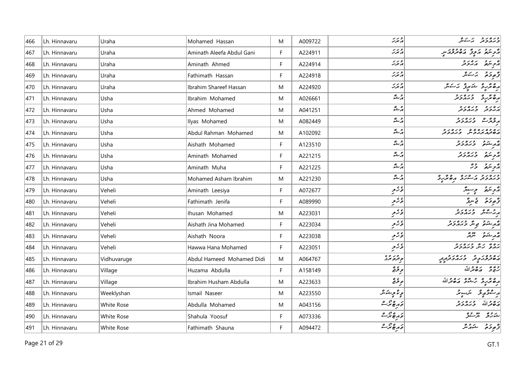| 466 | Lh. Hinnavaru | Uraha             | Mohamed Hassan            | ${\sf M}$ | A009722 | برىرىر                  | ورەرو برىكە                                                  |
|-----|---------------|-------------------|---------------------------|-----------|---------|-------------------------|--------------------------------------------------------------|
| 467 | Lh. Hinnavaru | Uraha             | Aminath Aleefa Abdul Gani | F         | A224911 | برىرىر                  | הכיתה ה' כל הסתיבה' יי                                       |
| 468 | Lh. Hinnavaru | Uraha             | Aminath Ahmed             | F         | A224914 | برىرىر                  | أثر برو برە برو                                              |
| 469 | Lh. Hinnavaru | Uraha             | Fathimath Hassan          | F         | A224918 | برىرىر                  | و دو پر ده                                                   |
| 470 | Lh. Hinnavaru | Uraha             | Ibrahim Shareef Hassan    | M         | A224920 | برىرىر                  | رەترىرو خىرۇ ئەسكى                                           |
| 471 | Lh. Hinnavaru | Usha              | Ibrahim Mohamed           | M         | A026661 | رحمشر                   |                                                              |
| 472 | Lh. Hinnavaru | Usha              | Ahmed Mohamed             | M         | A041251 | رحمشر                   |                                                              |
| 473 | Lh. Hinnavaru | Usha              | Ilyas Mohamed             | M         | A082449 | رژیئه                   | مروش ورەرد                                                   |
| 474 | Lh. Hinnavaru | Usha              | Abdul Rahman Mohamed      | M         | A102092 | رحمشر                   | ג ם כ ם ג ם ג ם ג כ ב ב ב ב ב<br>השנקה יגיג כ ייג כ ג הכ ב ג |
| 475 | Lh. Hinnavaru | Usha              | Aishath Mohamed           | F         | A123510 | رحمشر                   | ه دره دره در د<br><i>مگه شوه</i> دربردنر                     |
| 476 | Lh. Hinnavaru | Usha              | Aminath Mohamed           | F         | A221215 | رحيقه                   | و ره ر د<br>تربر پر تر<br>و څخه سرچ                          |
| 477 | Lh. Hinnavaru | Usha              | Aminath Muha              | F         | A221225 | رحمشر                   | ړٌ پر په در                                                  |
| 478 | Lh. Hinnavaru | Usha              | Mohamed Asham Ibrahim     | M         | A221230 | رحمشر                   |                                                              |
| 479 | Lh. Hinnavaru | Veheli            | Aminath Leesiya           | F         | A072677 | ءيمر                    | ومحر سكون والمستر                                            |
| 480 | Lh. Hinnavaru | Veheli            | Fathimath Jenifa          | F         | A089990 | ءيمو                    | أَوْجِرَةً فَيَ سِمَّ                                        |
| 481 | Lh. Hinnavaru | Veheli            | Ihusan Mohamed            | M         | A223031 | ءيمر                    | ورقم ورەرو                                                   |
| 482 | Lh. Hinnavaru | Veheli            | Aishath Jina Mohamed      | F         | A223034 | ءيجر                    | و مشور و مگر و بره د و د                                     |
| 483 | Lh. Hinnavaru | Veheli            | Aishath Noora             | F         | A223038 | ءيجر                    | و ديد ده ده د                                                |
| 484 | Lh. Hinnavaru | Veheli            | Hawwa Hana Mohamed        | F         | A223051 | ء بحرمر                 | رەپ رپە درەرد                                                |
| 485 | Lh. Hinnavaru | Vidhuvaruge       | Abdul Hameed Mohamed Didi | ${\sf M}$ | A064767 | و بر و ،<br>  و مره مرد |                                                              |
| 486 | Lh. Hinnavaru | Village           | Huzama Abdulla            | F         | A158149 | حرقرهم                  | حيح وكامترالله                                               |
| 487 | Lh. Hinnavaru | Village           | Ibrahim Husham Abdulla    | M         | A223633 | حبحرهم                  | مصرير وحيده معصرالله                                         |
| 488 | Lh. Hinnavaru | Weeklyshan        | Ismail Naseer             | M         | A223550 | ويدينيشر                | رىشۇر ئىر                                                    |
| 489 | Lh. Hinnavaru | <b>White Rose</b> | Abdulla Mohamed           | ${\sf M}$ | A043156 | ئەرەم ئەر               | برە ترالله<br>و ره ر و<br>تر پروتر                           |
| 490 | Lh. Hinnavaru | White Rose        | Shahula Yoosuf            | F         | A073336 | ورومره                  | ے ترتمر<br>دد حره<br>در سور                                  |
| 491 | Lh. Hinnavaru | <b>White Rose</b> | Fathimath Shauna          | F         | A094472 | وروعت                   | قرج وحديثه                                                   |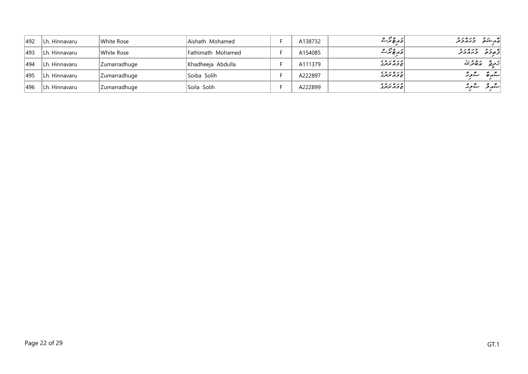| 492 | Lh. Hinnavaru | l White Rose | Aishath Mohamed   | A138732 | ئەرھ بىر م                                           | ه دره دره در د<br>مگهر شور در در در |
|-----|---------------|--------------|-------------------|---------|------------------------------------------------------|-------------------------------------|
| 493 | Lh. Hinnavaru | l White Rose | Fathimath Mohamed | A154085 | ئەرھ <sup>ى</sup> ر شە                               | ه رد دره رد<br>ژبوده دبردنر         |
| 494 | Lh. Hinnavaru | Zumarradhuge | Khadheeja Abdulla | A111379 | و ړ ه پر و ،<br>  ی <del>و</del> ډ برتر <sub>ک</sub> | تزميق ضكافرالله                     |
| 495 | Lh. Hinnavaru | Zumarradhuge | lSoiba Solih      | A222897 | ۶ ر ۵ ر ۶ و ۷<br>  بح <del>5</del> د مرتور           | ابتزرة<br>ستومرتر                   |
| 496 | Lh. Hinnavaru | Zumarradhuge | Soila Solih       | A222899 | 62001<br>  بح فرام مرکزی                             | ىبە ئەرىخە<br>ستحور                 |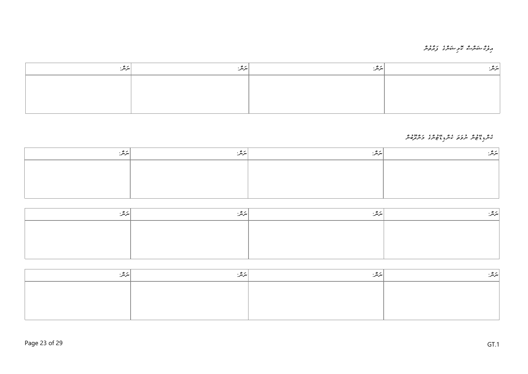## *w7qAn8m? sCw7mRo>u; wEw7mRw;sBo<*

| ' مرمر | 'يئرىثر: |
|--------|----------|
|        |          |
|        |          |
|        |          |

## *w7q9r@w7m> sCw7qHtFoFw7s; mAm=q7 w7qHtFoFw7s;*

| ىر تە | $\mathcal{O} \times$<br>$\sim$ | $\sim$<br>. . | لترنثر |
|-------|--------------------------------|---------------|--------|
|       |                                |               |        |
|       |                                |               |        |
|       |                                |               |        |

| انترنثر: | $^{\circ}$ | يبرهر | $^{\circ}$<br>سرسر |
|----------|------------|-------|--------------------|
|          |            |       |                    |
|          |            |       |                    |
|          |            |       |                    |

| ىرتىر: | 。<br>سر سر | .,<br>مرسر |
|--------|------------|------------|
|        |            |            |
|        |            |            |
|        |            |            |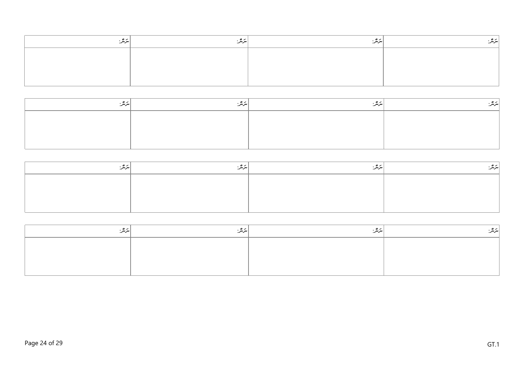| يره. | ο. | ا ير ه |  |
|------|----|--------|--|
|      |    |        |  |
|      |    |        |  |
|      |    |        |  |

| <sup>.</sup> سرسر. |  |
|--------------------|--|
|                    |  |
|                    |  |
|                    |  |

| ىرتىر: | $\sim$ | ا بر هه. | لىرىش |
|--------|--------|----------|-------|
|        |        |          |       |
|        |        |          |       |
|        |        |          |       |

| 。<br>مرس. | $\overline{\phantom{a}}$<br>مر سر | يتريثر |
|-----------|-----------------------------------|--------|
|           |                                   |        |
|           |                                   |        |
|           |                                   |        |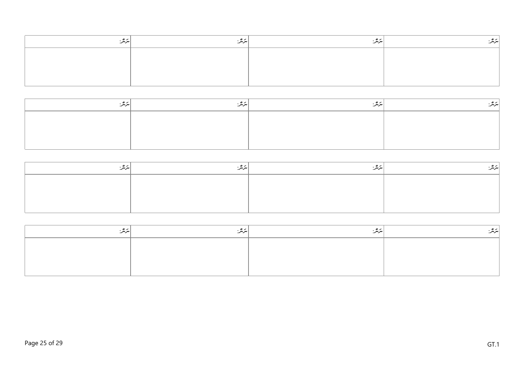| ير هو . | $\overline{\phantom{a}}$ | يرمر | اير هنه. |
|---------|--------------------------|------|----------|
|         |                          |      |          |
|         |                          |      |          |
|         |                          |      |          |

| ىر تىر: | $\circ$ $\sim$<br>" سرسر . | يترمير | o . |
|---------|----------------------------|--------|-----|
|         |                            |        |     |
|         |                            |        |     |
|         |                            |        |     |

| 'تترنثر: | 。<br>,,,, |  |
|----------|-----------|--|
|          |           |  |
|          |           |  |
|          |           |  |

|  | . ه |
|--|-----|
|  |     |
|  |     |
|  |     |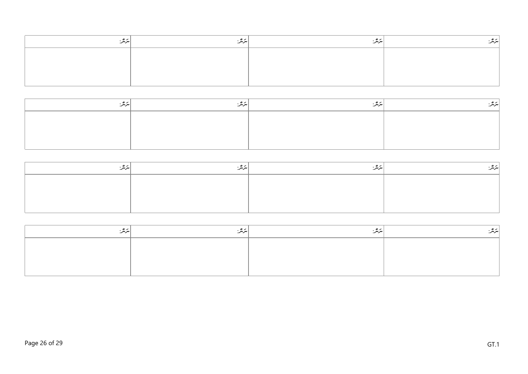| ير هو . | $\overline{\phantom{a}}$ | يرمر | اير هنه. |
|---------|--------------------------|------|----------|
|         |                          |      |          |
|         |                          |      |          |
|         |                          |      |          |

| ىر تىر: | $\circ$ $\sim$<br>" سرسر . | يترمير | o . |
|---------|----------------------------|--------|-----|
|         |                            |        |     |
|         |                            |        |     |
|         |                            |        |     |

| 'تترنثر: | 。<br>,,,, |  |
|----------|-----------|--|
|          |           |  |
|          |           |  |
|          |           |  |

|  | . ه |
|--|-----|
|  |     |
|  |     |
|  |     |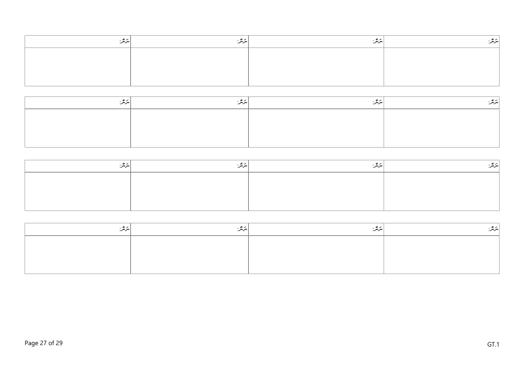| $\cdot$ | ο. | $\frac{\circ}{\cdot}$ | $\sim$<br>سرسر |
|---------|----|-----------------------|----------------|
|         |    |                       |                |
|         |    |                       |                |
|         |    |                       |                |

| ايرعر: | ر ه<br>. . |  |
|--------|------------|--|
|        |            |  |
|        |            |  |
|        |            |  |

| بر ه | 。 | $\sim$<br>َ سومس. |  |
|------|---|-------------------|--|
|      |   |                   |  |
|      |   |                   |  |
|      |   |                   |  |

| 。<br>. س | ىرىىر |  |
|----------|-------|--|
|          |       |  |
|          |       |  |
|          |       |  |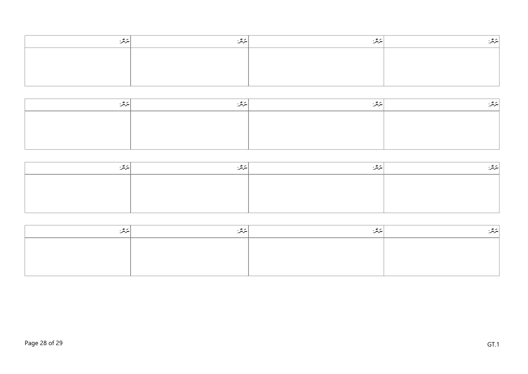| ير هو . | $\overline{\phantom{a}}$ | يرمر | لتزمثن |
|---------|--------------------------|------|--------|
|         |                          |      |        |
|         |                          |      |        |
|         |                          |      |        |

| ىر تىر: | $\circ$ $\sim$<br>" سرسر . | يترمير | o . |
|---------|----------------------------|--------|-----|
|         |                            |        |     |
|         |                            |        |     |
|         |                            |        |     |

| انترنثر: | ر ه |  |
|----------|-----|--|
|          |     |  |
|          |     |  |
|          |     |  |

|  | . ه |
|--|-----|
|  |     |
|  |     |
|  |     |